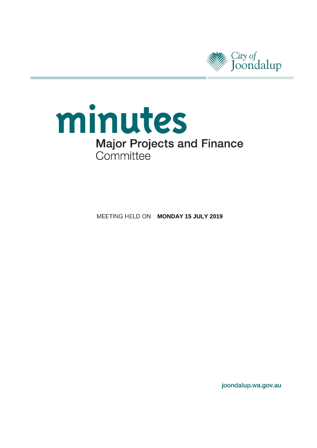

# minutes **Major Projects and Finance** Committee

**MEETING HELD ON MONDAY 15 JULY 2019** 

joondalup.wa.gov.au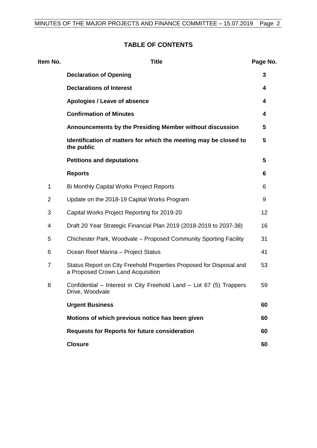# **TABLE OF CONTENTS**

| Item No.       | <b>Title</b>                                                                                             | Page No. |
|----------------|----------------------------------------------------------------------------------------------------------|----------|
|                | <b>Declaration of Opening</b>                                                                            | 3        |
|                | <b>Declarations of Interest</b>                                                                          | 4        |
|                | Apologies / Leave of absence                                                                             | 4        |
|                | <b>Confirmation of Minutes</b>                                                                           | 4        |
|                | Announcements by the Presiding Member without discussion                                                 | 5        |
|                | Identification of matters for which the meeting may be closed to<br>the public                           | 5        |
|                | <b>Petitions and deputations</b>                                                                         | 5        |
|                | <b>Reports</b>                                                                                           | 6        |
| 1              | <b>Bi Monthly Capital Works Project Reports</b>                                                          | 6        |
| 2              | Update on the 2018-19 Capital Works Program                                                              | 9        |
| 3              | Capital Works Project Reporting for 2019-20                                                              | 12       |
| 4              | Draft 20 Year Strategic Financial Plan 2019 (2018-2019 to 2037-38)                                       | 16       |
| 5              | Chichester Park, Woodvale - Proposed Community Sporting Facility                                         | 31       |
| 6              | Ocean Reef Marina - Project Status                                                                       | 41       |
| $\overline{7}$ | Status Report on City Freehold Properties Proposed for Disposal and<br>a Proposed Crown Land Acquisition | 53       |
| 8              | Confidential – Interest in City Freehold Land – Lot 67 (5) Trappers<br>Drive, Woodvale                   | 59       |
|                | <b>Urgent Business</b>                                                                                   | 60       |
|                | Motions of which previous notice has been given                                                          | 60       |
|                | <b>Requests for Reports for future consideration</b>                                                     | 60       |
|                | <b>Closure</b>                                                                                           | 60       |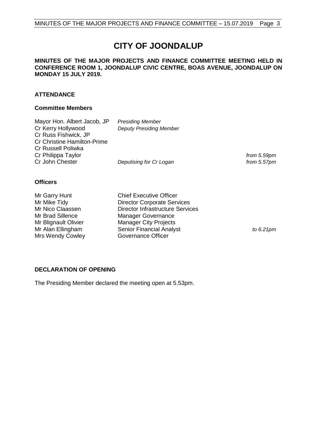# **CITY OF JOONDALUP**

#### **MINUTES OF THE MAJOR PROJECTS AND FINANCE COMMITTEE MEETING HELD IN CONFERENCE ROOM 1, JOONDALUP CIVIC CENTRE, BOAS AVENUE, JOONDALUP ON MONDAY 15 JULY 2019.**

#### **ATTENDANCE**

#### **Committee Members**

| Mayor Hon. Albert Jacob, JP<br>Cr Kerry Hollywood<br>Cr Russ Fishwick, JP<br><b>Cr Christine Hamilton-Prime</b><br>Cr Russell Poliwka | <b>Presiding Member</b><br><b>Deputy Presiding Member</b> |                               |
|---------------------------------------------------------------------------------------------------------------------------------------|-----------------------------------------------------------|-------------------------------|
| Cr Philippa Taylor<br>Cr John Chester                                                                                                 | Deputising for Cr Logan                                   | from 5.59pm<br>from $5.57$ pm |
| <b>Officers</b>                                                                                                                       |                                                           |                               |
| Mr Garry Hunt                                                                                                                         | <b>Chief Executive Officer</b>                            |                               |

| to $6.21$ pm |
|--------------|
|              |
|              |

#### <span id="page-2-0"></span>**DECLARATION OF OPENING**

The Presiding Member declared the meeting open at 5.53pm.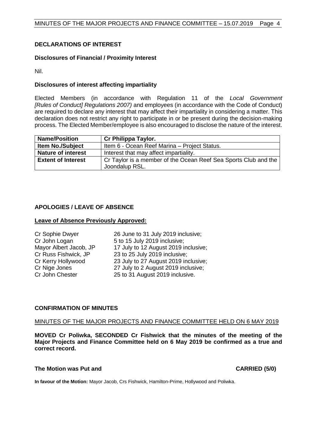#### <span id="page-3-0"></span>**DECLARATIONS OF INTEREST**

#### **Disclosures of Financial / Proximity Interest**

Nil.

#### **Disclosures of interest affecting impartiality**

Elected Members (in accordance with Regulation 11 of the *Local Government [Rules of Conduct] Regulations 2007)* and employees (in accordance with the Code of Conduct) are required to declare any interest that may affect their impartiality in considering a matter. This declaration does not restrict any right to participate in or be present during the decision-making process. The Elected Member/employee is also encouraged to disclose the nature of the interest.

| <b>Name/Position</b>      | Cr Philippa Taylor.                                                               |
|---------------------------|-----------------------------------------------------------------------------------|
| <b>Item No./Subject</b>   | Item 6 - Ocean Reef Marina - Project Status.                                      |
| <b>Nature of interest</b> | Interest that may affect impartiality.                                            |
| <b>Extent of Interest</b> | Cr Taylor is a member of the Ocean Reef Sea Sports Club and the<br>Joondalup RSL. |

#### <span id="page-3-1"></span>**APOLOGIES / LEAVE OF ABSENCE**

#### **Leave of Absence Previously Approved:**

Cr Sophie Dwyer 26 June to 31 July 2019 inclusive; Cr John Logan 5 to 15 July 2019 inclusive;<br>Mayor Albert Jacob, JP 17 July to 12 August 2019 in Mayor Albert Jacob, JP 17 July to 12 August 2019 inclusive;<br>Cr Russ Fishwick, JP 23 to 25 July 2019 inclusive;  $23$  to  $25$  July 2019 inclusive; Cr Kerry Hollywood 23 July to 27 August 2019 inclusive; Cr Nige Jones 27 July to 2 August 2019 inclusive; Cr John Chester 25 to 31 August 2019 inclusive.

#### <span id="page-3-2"></span>**CONFIRMATION OF MINUTES**

#### MINUTES OF THE MAJOR PROJECTS AND FINANCE COMMITTEE HELD ON 6 MAY 2019

**MOVED Cr Poliwka, SECONDED Cr Fishwick that the minutes of the meeting of the Major Projects and Finance Committee held on 6 May 2019 be confirmed as a true and correct record.**

#### **The Motion was Put and CARRIED (5/0)**

**In favour of the Motion:** Mayor Jacob, Crs Fishwick, Hamilton-Prime, Hollywood and Poliwka.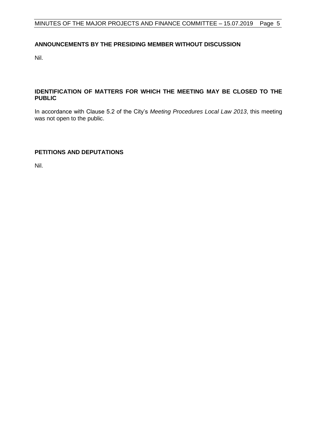#### <span id="page-4-0"></span>**ANNOUNCEMENTS BY THE PRESIDING MEMBER WITHOUT DISCUSSION**

Nil.

#### <span id="page-4-1"></span>**IDENTIFICATION OF MATTERS FOR WHICH THE MEETING MAY BE CLOSED TO THE PUBLIC**

In accordance with Clause 5.2 of the City's *Meeting Procedures Local Law 2013*, this meeting was not open to the public.

### <span id="page-4-2"></span>**PETITIONS AND DEPUTATIONS**

Nil.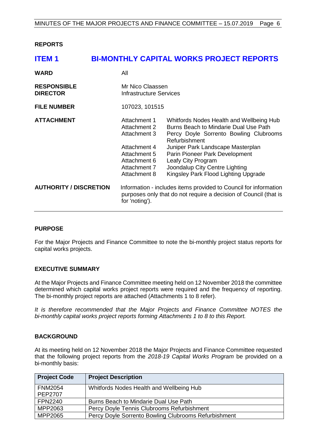<span id="page-5-0"></span>**REPORTS**

<span id="page-5-1"></span>

| <b>ITEM1</b>                          |                                                                                                                              | <b>BI-MONTHLY CAPITAL WORKS PROJECT REPORTS</b>                                                                                                                                                                                                                                                                     |
|---------------------------------------|------------------------------------------------------------------------------------------------------------------------------|---------------------------------------------------------------------------------------------------------------------------------------------------------------------------------------------------------------------------------------------------------------------------------------------------------------------|
| <b>WARD</b>                           | All                                                                                                                          |                                                                                                                                                                                                                                                                                                                     |
| <b>RESPONSIBLE</b><br><b>DIRECTOR</b> | Mr Nico Claassen<br><b>Infrastructure Services</b>                                                                           |                                                                                                                                                                                                                                                                                                                     |
| <b>FILE NUMBER</b>                    | 107023, 101515                                                                                                               |                                                                                                                                                                                                                                                                                                                     |
| <b>ATTACHMENT</b>                     | Attachment 1<br>Attachment 2<br>Attachment 3<br>Attachment 4<br>Attachment 5<br>Attachment 6<br>Attachment 7<br>Attachment 8 | Whitfords Nodes Health and Wellbeing Hub<br>Burns Beach to Mindarie Dual Use Path<br>Percy Doyle Sorrento Bowling Clubrooms<br>Refurbishment<br>Juniper Park Landscape Masterplan<br>Parin Pioneer Park Development<br>Leafy City Program<br>Joondalup City Centre Lighting<br>Kingsley Park Flood Lighting Upgrade |
| <b>AUTHORITY / DISCRETION</b>         | for 'noting').                                                                                                               | Information - includes items provided to Council for information<br>purposes only that do not require a decision of Council (that is                                                                                                                                                                                |

#### **PURPOSE**

For the Major Projects and Finance Committee to note the bi-monthly project status reports for capital works projects.

#### **EXECUTIVE SUMMARY**

At the Major Projects and Finance Committee meeting held on 12 November 2018 the committee determined which capital works project reports were required and the frequency of reporting. The bi-monthly project reports are attached (Attachments 1 to 8 refer).

*It is therefore recommended that the Major Projects and Finance Committee NOTES the bi-monthly capital works project reports forming Attachments 1 to 8 to this Report.*

#### **BACKGROUND**

At its meeting held on 12 November 2018 the Major Projects and Finance Committee requested that the following project reports from the *2018-19 Capital Works Program* be provided on a bi-monthly basis:

| <b>Project Code</b> | <b>Project Description</b>                           |
|---------------------|------------------------------------------------------|
| <b>FNM2054</b>      | Whitfords Nodes Health and Wellbeing Hub             |
| <b>PEP2707</b>      |                                                      |
| <b>FPN2240</b>      | Burns Beach to Mindarie Dual Use Path                |
| MPP2063             | Percy Doyle Tennis Clubrooms Refurbishment           |
| MPP2065             | Percy Doyle Sorrento Bowling Clubrooms Refurbishment |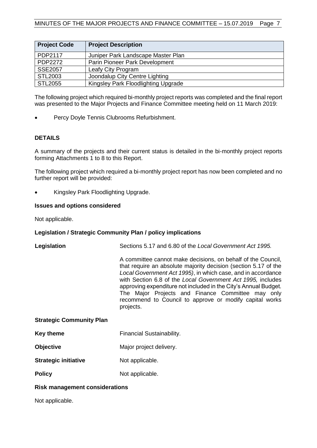| <b>Project Code</b> | <b>Project Description</b>          |
|---------------------|-------------------------------------|
| PDP2117             | Juniper Park Landscape Master Plan  |
| PDP2272             | Parin Pioneer Park Development      |
| <b>SSE2057</b>      | Leafy City Program                  |
| <b>STL2003</b>      | Joondalup City Centre Lighting      |
| <b>STL2055</b>      | Kingsley Park Floodlighting Upgrade |

The following project which required bi-monthly project reports was completed and the final report was presented to the Major Projects and Finance Committee meeting held on 11 March 2019:

Percy Doyle Tennis Clubrooms Refurbishment.

#### **DETAILS**

A summary of the projects and their current status is detailed in the bi-monthly project reports forming Attachments 1 to 8 to this Report.

The following project which required a bi-monthly project report has now been completed and no further report will be provided:

• Kingsley Park Floodlighting Upgrade.

#### **Issues and options considered**

Not applicable.

#### **Legislation / Strategic Community Plan / policy implications**

| Legislation                     | Sections 5.17 and 6.80 of the Local Government Act 1995.                                                                                                                                                                                                                                                                                                                                                                                                       |  |  |
|---------------------------------|----------------------------------------------------------------------------------------------------------------------------------------------------------------------------------------------------------------------------------------------------------------------------------------------------------------------------------------------------------------------------------------------------------------------------------------------------------------|--|--|
|                                 | A committee cannot make decisions, on behalf of the Council,<br>that require an absolute majority decision (section 5.17 of the<br>Local Government Act 1995), in which case, and in accordance<br>with Section 6.8 of the Local Government Act 1995, includes<br>approving expenditure not included in the City's Annual Budget.<br>The Major Projects and Finance Committee may only<br>recommend to Council to approve or modify capital works<br>projects. |  |  |
| <b>Strategic Community Plan</b> |                                                                                                                                                                                                                                                                                                                                                                                                                                                                |  |  |
| Key theme                       | Financial Sustainability.                                                                                                                                                                                                                                                                                                                                                                                                                                      |  |  |
| <b>Objective</b>                | Major project delivery.                                                                                                                                                                                                                                                                                                                                                                                                                                        |  |  |
| <b>Strategic initiative</b>     | Not applicable.                                                                                                                                                                                                                                                                                                                                                                                                                                                |  |  |
| <b>Policy</b>                   | Not applicable.                                                                                                                                                                                                                                                                                                                                                                                                                                                |  |  |

#### **Risk management considerations**

Not applicable.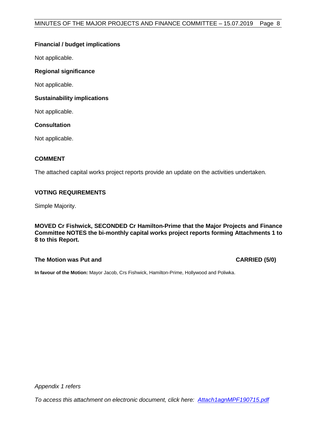#### **Financial / budget implications**

Not applicable.

#### **Regional significance**

Not applicable.

#### **Sustainability implications**

Not applicable.

#### **Consultation**

Not applicable.

#### **COMMENT**

The attached capital works project reports provide an update on the activities undertaken.

#### **VOTING REQUIREMENTS**

Simple Majority.

**MOVED Cr Fishwick, SECONDED Cr Hamilton-Prime that the Major Projects and Finance Committee NOTES the bi-monthly capital works project reports forming Attachments 1 to 8 to this Report.**

#### **The Motion was Put and CARRIED (5/0)**

**In favour of the Motion:** Mayor Jacob, Crs Fishwick, Hamilton-Prime, Hollywood and Poliwka.

*Appendix 1 refers*

*To access this attachment on electronic document, click here: [Attach1agnMPF190715.pdf](http://www.joondalup.wa.gov.au/files/committees/MPFI/2019/Attach1agnMPF190715.pdf)*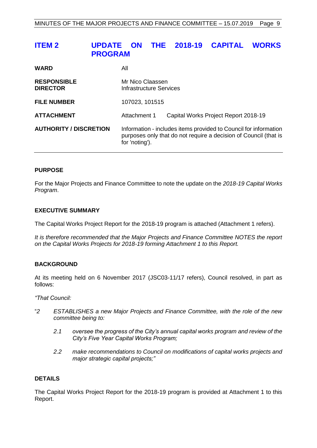# <span id="page-8-0"></span>**ITEM 2 UPDATE ON THE 2018-19 CAPITAL WORKS PROGRAM**

| <b>WARD</b>                           | All                                                                                                                                                    |                                      |
|---------------------------------------|--------------------------------------------------------------------------------------------------------------------------------------------------------|--------------------------------------|
| <b>RESPONSIBLE</b><br><b>DIRECTOR</b> | Mr Nico Claassen<br><b>Infrastructure Services</b>                                                                                                     |                                      |
| <b>FILE NUMBER</b>                    | 107023, 101515                                                                                                                                         |                                      |
| <b>ATTACHMENT</b>                     | Attachment 1                                                                                                                                           | Capital Works Project Report 2018-19 |
| <b>AUTHORITY / DISCRETION</b>         | Information - includes items provided to Council for information<br>purposes only that do not require a decision of Council (that is<br>for 'noting'). |                                      |

#### **PURPOSE**

For the Major Projects and Finance Committee to note the update on the *2018-19 Capital Works Program*.

#### **EXECUTIVE SUMMARY**

The Capital Works Project Report for the 2018-19 program is attached (Attachment 1 refers).

*It is therefore recommended that the Major Projects and Finance Committee NOTES the report on the Capital Works Projects for 2018-19 forming Attachment 1 to this Report.*

#### **BACKGROUND**

At its meeting held on 6 November 2017 (JSC03-11/17 refers), Council resolved, in part as follows:

*"That Council:*

- "*2 ESTABLISHES a new Major Projects and Finance Committee, with the role of the new committee being to:*
	- *2.1 oversee the progress of the City's annual capital works program and review of the City's Five Year Capital Works Program;*
	- *2.2 make recommendations to Council on modifications of capital works projects and major strategic capital projects;"*

#### **DETAILS**

The Capital Works Project Report for the 2018-19 program is provided at Attachment 1 to this Report.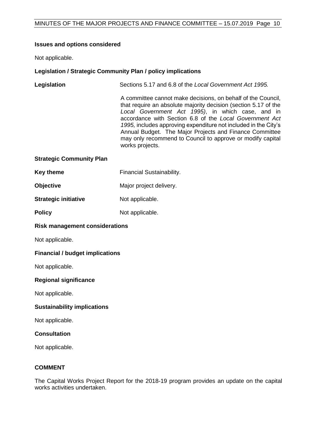#### **Issues and options considered**

Not applicable.

### **Legislation / Strategic Community Plan / policy implications**

| Legislation                            | Sections 5.17 and 6.8 of the Local Government Act 1995.                                                                                                                                                                                                                                                                                                                                                                                                        |  |
|----------------------------------------|----------------------------------------------------------------------------------------------------------------------------------------------------------------------------------------------------------------------------------------------------------------------------------------------------------------------------------------------------------------------------------------------------------------------------------------------------------------|--|
|                                        | A committee cannot make decisions, on behalf of the Council,<br>that require an absolute majority decision (section 5.17 of the<br>Local Government Act 1995), in which case, and in<br>accordance with Section 6.8 of the Local Government Act<br>1995, includes approving expenditure not included in the City's<br>Annual Budget. The Major Projects and Finance Committee<br>may only recommend to Council to approve or modify capital<br>works projects. |  |
| <b>Strategic Community Plan</b>        |                                                                                                                                                                                                                                                                                                                                                                                                                                                                |  |
| <b>Key theme</b>                       | Financial Sustainability.                                                                                                                                                                                                                                                                                                                                                                                                                                      |  |
| Objective                              | Major project delivery.                                                                                                                                                                                                                                                                                                                                                                                                                                        |  |
| <b>Strategic initiative</b>            | Not applicable.                                                                                                                                                                                                                                                                                                                                                                                                                                                |  |
| <b>Policy</b>                          | Not applicable.                                                                                                                                                                                                                                                                                                                                                                                                                                                |  |
| <b>Risk management considerations</b>  |                                                                                                                                                                                                                                                                                                                                                                                                                                                                |  |
| Not applicable.                        |                                                                                                                                                                                                                                                                                                                                                                                                                                                                |  |
| <b>Financial / budget implications</b> |                                                                                                                                                                                                                                                                                                                                                                                                                                                                |  |
| Not applicable.                        |                                                                                                                                                                                                                                                                                                                                                                                                                                                                |  |
| <b>Regional significance</b>           |                                                                                                                                                                                                                                                                                                                                                                                                                                                                |  |
| Not applicable.                        |                                                                                                                                                                                                                                                                                                                                                                                                                                                                |  |
| <b>Sustainability implications</b>     |                                                                                                                                                                                                                                                                                                                                                                                                                                                                |  |
| Not applicable.                        |                                                                                                                                                                                                                                                                                                                                                                                                                                                                |  |

#### **Consultation**

Not applicable.

### **COMMENT**

The Capital Works Project Report for the 2018-19 program provides an update on the capital works activities undertaken.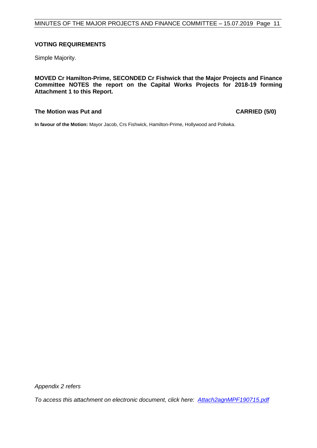#### **VOTING REQUIREMENTS**

Simple Majority.

**MOVED Cr Hamilton-Prime, SECONDED Cr Fishwick that the Major Projects and Finance Committee NOTES the report on the Capital Works Projects for 2018-19 forming Attachment 1 to this Report.**

#### **The Motion was Put and CARRIED (5/0)**

**In favour of the Motion:** Mayor Jacob, Crs Fishwick, Hamilton-Prime, Hollywood and Poliwka.

*Appendix 2 refers*

*To access this attachment on electronic document, click here: [Attach2agnMPF190715.pdf](http://www.joondalup.wa.gov.au/files/committees/MPFI/2019/Attach2agnMPF190715.pdf)*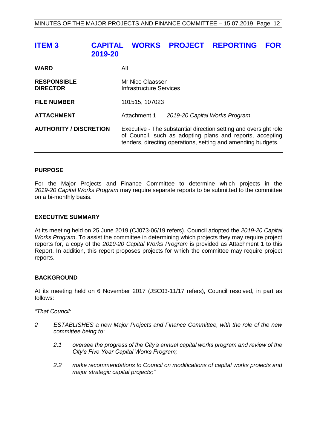# <span id="page-11-0"></span>**ITEM 3 CAPITAL WORKS PROJECT REPORTING FOR 2019-20**

| <b>WARD</b>                           | All                                                                                                                                                                                           |                               |
|---------------------------------------|-----------------------------------------------------------------------------------------------------------------------------------------------------------------------------------------------|-------------------------------|
| <b>RESPONSIBLE</b><br><b>DIRECTOR</b> | Mr Nico Claassen<br>Infrastructure Services                                                                                                                                                   |                               |
| <b>FILE NUMBER</b>                    | 101515, 107023                                                                                                                                                                                |                               |
| <b>ATTACHMENT</b>                     | Attachment 1                                                                                                                                                                                  | 2019-20 Capital Works Program |
| <b>AUTHORITY / DISCRETION</b>         | Executive - The substantial direction setting and oversight role<br>of Council, such as adopting plans and reports, accepting<br>tenders, directing operations, setting and amending budgets. |                               |

#### **PURPOSE**

For the Major Projects and Finance Committee to determine which projects in the *2019-20 Capital Works Program* may require separate reports to be submitted to the committee on a bi-monthly basis.

#### **EXECUTIVE SUMMARY**

At its meeting held on 25 June 2019 (CJ073-06/19 refers), Council adopted the *2019-20 Capital Works Program*. To assist the committee in determining which projects they may require project reports for, a copy of the *2019-20 Capital Works Program* is provided as Attachment 1 to this Report. In addition, this report proposes projects for which the committee may require project reports.

#### **BACKGROUND**

At its meeting held on 6 November 2017 (JSC03-11/17 refers), Council resolved, in part as follows:

*"That Council:*

- *2 ESTABLISHES a new Major Projects and Finance Committee, with the role of the new committee being to:*
	- *2.1 oversee the progress of the City's annual capital works program and review of the City's Five Year Capital Works Program;*
	- *2.2 make recommendations to Council on modifications of capital works projects and major strategic capital projects;"*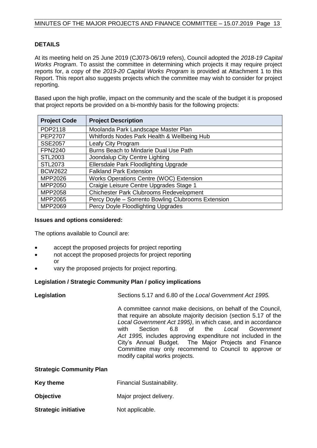#### **DETAILS**

At its meeting held on 25 June 2019 (CJ073-06/19 refers), Council adopted the *2018-19 Capital Works Program*. To assist the committee in determining which projects it may require project reports for, a copy of the *2019-20 Capital Works Program* is provided at Attachment 1 to this Report. This report also suggests projects which the committee may wish to consider for project reporting.

Based upon the high profile, impact on the community and the scale of the budget it is proposed that project reports be provided on a bi-monthly basis for the following projects:

| <b>Project Code</b> | <b>Project Description</b>                         |
|---------------------|----------------------------------------------------|
| PDP2118             | Moolanda Park Landscape Master Plan                |
| <b>PEP2707</b>      | Whitfords Nodes Park Health & Wellbeing Hub        |
| <b>SSE2057</b>      | Leafy City Program                                 |
| <b>FPN2240</b>      | Burns Beach to Mindarie Dual Use Path              |
| STL2003             | Joondalup City Centre Lighting                     |
| STL2073             | Ellersdale Park Floodlighting Upgrade              |
| <b>BCW2622</b>      | <b>Falkland Park Extension</b>                     |
| MPP2026             | <b>Works Operations Centre (WOC) Extension</b>     |
| MPP2050             | Craigie Leisure Centre Upgrades Stage 1            |
| MPP2058             | <b>Chichester Park Clubrooms Redevelopment</b>     |
| MPP2065             | Percy Doyle - Sorrento Bowling Clubrooms Extension |
| MPP2069             | Percy Doyle Floodlighting Upgrades                 |

#### **Issues and options considered:**

The options available to Council are:

- accept the proposed projects for project reporting
- not accept the proposed projects for project reporting or
- vary the proposed projects for project reporting.

#### **Legislation / Strategic Community Plan / policy implications**

| Legislation                     | Sections 5.17 and 6.80 of the Local Government Act 1995.                                                                                                                                                                                                                                                                                                                                                                                                          |  |  |  |
|---------------------------------|-------------------------------------------------------------------------------------------------------------------------------------------------------------------------------------------------------------------------------------------------------------------------------------------------------------------------------------------------------------------------------------------------------------------------------------------------------------------|--|--|--|
|                                 | A committee cannot make decisions, on behalf of the Council,<br>that require an absolute majority decision (section 5.17 of the<br>Local Government Act 1995), in which case, and in accordance<br>Section 6.8 of the Local Government<br>with<br>Act 1995, includes approving expenditure not included in the<br>City's Annual Budget. The Major Projects and Finance<br>Committee may only recommend to Council to approve or<br>modify capital works projects. |  |  |  |
| <b>Strategic Community Plan</b> |                                                                                                                                                                                                                                                                                                                                                                                                                                                                   |  |  |  |
| Key theme                       | <b>Financial Sustainability.</b>                                                                                                                                                                                                                                                                                                                                                                                                                                  |  |  |  |
| <b>Objective</b>                | Major project delivery.                                                                                                                                                                                                                                                                                                                                                                                                                                           |  |  |  |
| <b>Strategic initiative</b>     | Not applicable.                                                                                                                                                                                                                                                                                                                                                                                                                                                   |  |  |  |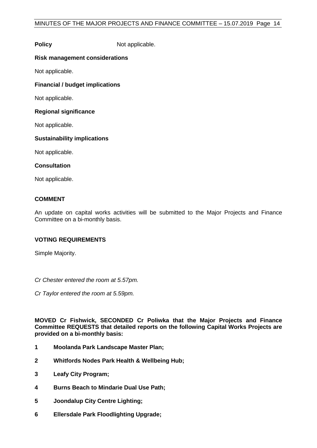### **Policy** Not applicable.

#### **Risk management considerations**

Not applicable.

#### **Financial / budget implications**

Not applicable.

#### **Regional significance**

Not applicable.

#### **Sustainability implications**

Not applicable.

#### **Consultation**

Not applicable.

#### **COMMENT**

An update on capital works activities will be submitted to the Major Projects and Finance Committee on a bi-monthly basis.

#### **VOTING REQUIREMENTS**

Simple Majority.

*Cr Chester entered the room at 5.57pm.*

*Cr Taylor entered the room at 5.59pm.*

**MOVED Cr Fishwick, SECONDED Cr Poliwka that the Major Projects and Finance Committee REQUESTS that detailed reports on the following Capital Works Projects are provided on a bi-monthly basis:**

- **1 Moolanda Park Landscape Master Plan;**
- **2 Whitfords Nodes Park Health & Wellbeing Hub;**
- **3 Leafy City Program;**
- **4 Burns Beach to Mindarie Dual Use Path;**
- **5 Joondalup City Centre Lighting;**
- **6 Ellersdale Park Floodlighting Upgrade;**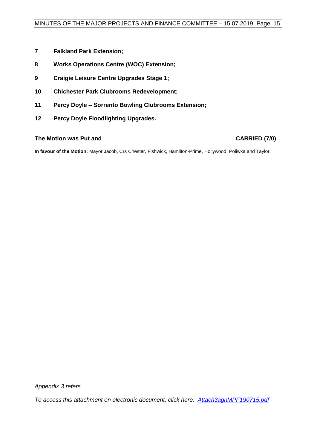- **7 Falkland Park Extension;**
- **8 Works Operations Centre (WOC) Extension;**
- **9 Craigie Leisure Centre Upgrades Stage 1;**
- **10 Chichester Park Clubrooms Redevelopment;**
- **11 Percy Doyle – Sorrento Bowling Clubrooms Extension;**
- **12 Percy Doyle Floodlighting Upgrades.**

**The Motion was Put and CARRIED (7/0)** 

**In favour of the Motion:** Mayor Jacob, Crs Chester, Fishwick, Hamilton-Prime, Hollywood, Poliwka and Taylor.

*Appendix 3 refers*

*To access this attachment on electronic document, click here: [Attach3agnMPF190715.pdf](http://www.joondalup.wa.gov.au/files/committees/MPFI/2019/Attach3agnMPF190715.pdf)*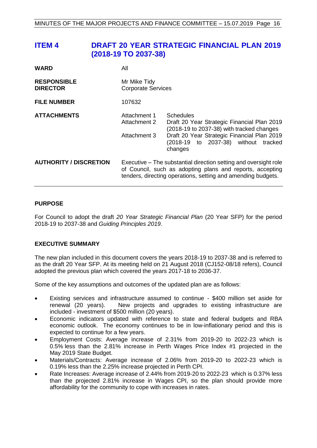# <span id="page-15-0"></span>**ITEM 4 DRAFT 20 YEAR STRATEGIC FINANCIAL PLAN 2019 (2018-19 TO 2037-38)**

| <b>WARD</b>                           | All                                                                                                                                                                                           |                                                                                                                                                                                                         |  |
|---------------------------------------|-----------------------------------------------------------------------------------------------------------------------------------------------------------------------------------------------|---------------------------------------------------------------------------------------------------------------------------------------------------------------------------------------------------------|--|
| <b>RESPONSIBLE</b><br><b>DIRECTOR</b> | Mr Mike Tidy<br><b>Corporate Services</b>                                                                                                                                                     |                                                                                                                                                                                                         |  |
| <b>FILE NUMBER</b>                    | 107632                                                                                                                                                                                        |                                                                                                                                                                                                         |  |
| <b>ATTACHMENTS</b>                    | Attachment 1<br>Attachment 2<br>Attachment 3                                                                                                                                                  | Schedules<br>Draft 20 Year Strategic Financial Plan 2019<br>(2018-19 to 2037-38) with tracked changes<br>Draft 20 Year Strategic Financial Plan 2019<br>(2018-19 to 2037-38) without tracked<br>changes |  |
| <b>AUTHORITY / DISCRETION</b>         | Executive – The substantial direction setting and oversight role<br>of Council, such as adopting plans and reports, accepting<br>tenders, directing operations, setting and amending budgets. |                                                                                                                                                                                                         |  |

#### **PURPOSE**

For Council to adopt the draft *20 Year Strategic Financial Plan* (20 Year SFP) for the period 2018-19 to 2037-38 and *Guiding Principles 2019*.

### **EXECUTIVE SUMMARY**

The new plan included in this document covers the years 2018-19 to 2037-38 and is referred to as the draft 20 Year SFP. At its meeting held on 21 August 2018 (CJ152-08/18 refers), Council adopted the previous plan which covered the years 2017-18 to 2036-37.

Some of the key assumptions and outcomes of the updated plan are as follows:

- Existing services and infrastructure assumed to continue \$400 million set aside for renewal (20 years). New projects and upgrades to existing infrastructure are included - investment of \$500 million (20 years).
- Economic indicators updated with reference to state and federal budgets and RBA economic outlook. The economy continues to be in low-inflationary period and this is expected to continue for a few years.
- Employment Costs: Average increase of 2.31% from 2019-20 to 2022-23 which is 0.5% less than the 2.81% increase in Perth Wages Price Index #1 projected in the May 2019 State Budget.
- Materials/Contracts: Average increase of 2.06% from 2019-20 to 2022-23 which is 0.19% less than the 2.25% increase projected in Perth CPI.
- Rate Increases: Average increase of 2.44% from 2019-20 to 2022-23 which is 0.37% less than the projected 2.81% increase in Wages CPI, so the plan should provide more affordability for the community to cope with increases in rates.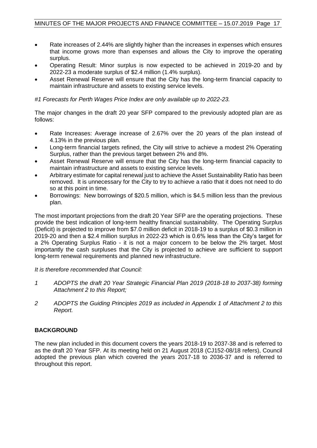- Rate increases of 2.44% are slightly higher than the increases in expenses which ensures that income grows more than expenses and allows the City to improve the operating surplus.
- Operating Result: Minor surplus is now expected to be achieved in 2019-20 and by 2022-23 a moderate surplus of \$2.4 million (1.4% surplus).
- Asset Renewal Reserve will ensure that the City has the long-term financial capacity to maintain infrastructure and assets to existing service levels.

*#1 Forecasts for Perth Wages Price Index are only available up to 2022-23.*

The major changes in the draft 20 year SFP compared to the previously adopted plan are as follows:

- Rate Increases: Average increase of 2.67% over the 20 years of the plan instead of 4.13% in the previous plan.
- Long-term financial targets refined, the City will strive to achieve a modest 2% Operating Surplus, rather than the previous target between 2% and 8%.
- Asset Renewal Reserve will ensure that the City has the long-term financial capacity to maintain infrastructure and assets to existing service levels.
- Arbitrary estimate for capital renewal just to achieve the Asset Sustainability Ratio has been removed. It is unnecessary for the City to try to achieve a ratio that it does not need to do so at this point in time.
- Borrowings: New borrowings of \$20.5 million, which is \$4.5 million less than the previous plan.

The most important projections from the draft 20 Year SFP are the operating projections. These provide the best indication of long-term healthy financial sustainability. The Operating Surplus (Deficit) is projected to improve from \$7.0 million deficit in 2018-19 to a surplus of \$0.3 million in 2019-20 and then a \$2.4 million surplus in 2022-23 which is 0.6% less than the City's target for a 2% Operating Surplus Ratio - it is not a major concern to be below the 2% target. Most importantly the cash surpluses that the City is projected to achieve are sufficient to support long-term renewal requirements and planned new infrastructure.

*It is therefore recommended that Council:*

- *1 ADOPTS the draft 20 Year Strategic Financial Plan 2019 (2018-18 to 2037-38) forming Attachment 2 to this Report;*
- *2 ADOPTS the Guiding Principles 2019 as included in Appendix 1 of Attachment 2 to this Report.*

### **BACKGROUND**

The new plan included in this document covers the years 2018-19 to 2037-38 and is referred to as the draft 20 Year SFP. At its meeting held on 21 August 2018 (CJ152-08/18 refers), Council adopted the previous plan which covered the years 2017-18 to 2036-37 and is referred to throughout this report.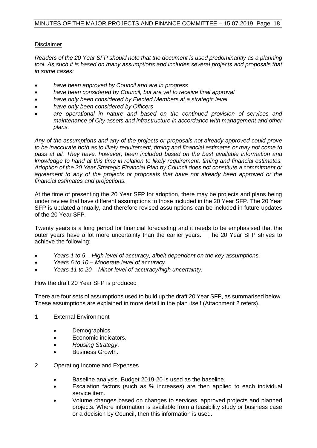#### **Disclaimer**

*Readers of the 20 Year SFP should note that the document is used predominantly as a planning tool. As such it is based on many assumptions and includes several projects and proposals that in some cases:* 

- *have been approved by Council and are in progress*
- *have been considered by Council, but are yet to receive final approval*
- *have only been considered by Elected Members at a strategic level*
- *have only been considered by Officers*
- *are operational in nature and based on the continued provision of services and maintenance of City assets and infrastructure in accordance with management and other plans.*

*Any of the assumptions and any of the projects or proposals not already approved could prove to be inaccurate both as to likely requirement, timing and financial estimates or may not come to pass at all. They have, however, been included based on the best available information and knowledge to hand at this time in relation to likely requirement, timing and financial estimates. Adoption of the 20 Year Strategic Financial Plan by Council does not constitute a commitment or agreement to any of the projects or proposals that have not already been approved or the financial estimates and projections.*

At the time of presenting the 20 Year SFP for adoption, there may be projects and plans being under review that have different assumptions to those included in the 20 Year SFP. The 20 Year SFP is updated annually, and therefore revised assumptions can be included in future updates of the 20 Year SFP*.*

Twenty years is a long period for financial forecasting and it needs to be emphasised that the outer years have a lot more uncertainty than the earlier years. The 20 Year SFP strives to achieve the following:

- *Years 1 to 5 – High level of accuracy, albeit dependent on the key assumptions.*
- *Years 6 to 10 – Moderate level of accuracy.*
- *Years 11 to 20 – Minor level of accuracy/high uncertainty.*

#### How the draft 20 Year SFP is produced

There are four sets of assumptions used to build up the draft 20 Year SFP, as summarised below. These assumptions are explained in more detail in the plan itself (Attachment 2 refers).

- 1 External Environment
	- Demographics.
	- Economic indicators.
	- *Housing Strategy*.
	- Business Growth.
- 2 Operating Income and Expenses
	- Baseline analysis. Budget 2019-20 is used as the baseline.
	- Escalation factors (such as % increases) are then applied to each individual service item.
	- Volume changes based on changes to services, approved projects and planned projects. Where information is available from a feasibility study or business case or a decision by Council, then this information is used.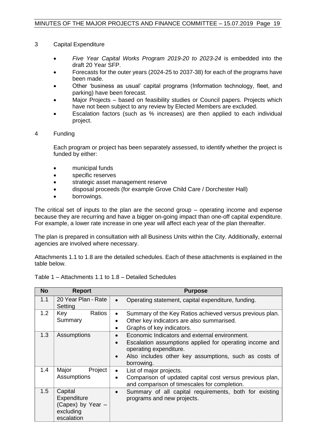- 3 Capital Expenditure
	- *Five Year Capital Works Program 2019-20 to 2023-24* is embedded into the draft 20 Year SFP.
	- Forecasts for the outer years (2024-25 to 2037-38) for each of the programs have been made.
	- Other 'business as usual' capital programs (Information technology, fleet, and parking) have been forecast.
	- Major Projects based on feasibility studies or Council papers. Projects which have not been subject to any review by Elected Members are excluded.
	- Escalation factors (such as % increases) are then applied to each individual project.
- 4 Funding

Each program or project has been separately assessed, to identify whether the project is funded by either:

- municipal funds
- specific reserves
- strategic asset management reserve
- disposal proceeds (for example Grove Child Care / Dorchester Hall)
- borrowings.

The critical set of inputs to the plan are the second group – operating income and expense because they are recurring and have a bigger on-going impact than one-off capital expenditure. For example, a lower rate increase in one year will affect each year of the plan thereafter.

The plan is prepared in consultation with all Business Units within the City. Additionally, external agencies are involved where necessary.

Attachments 1.1 to 1.8 are the detailed schedules. Each of these attachments is explained in the table below.

| <b>No</b> | <b>Report</b>                                                          | <b>Purpose</b>                                                                                                                                                                                                         |
|-----------|------------------------------------------------------------------------|------------------------------------------------------------------------------------------------------------------------------------------------------------------------------------------------------------------------|
| 1.1       | 20 Year Plan - Rate<br>Setting                                         | Operating statement, capital expenditure, funding.                                                                                                                                                                     |
| 1.2       | Key<br><b>Ratios</b><br>Summary                                        | Summary of the Key Ratios achieved versus previous plan.<br>$\bullet$<br>Other key indicators are also summarised.<br>Graphs of key indicators.<br>$\bullet$                                                           |
| 1.3       | Assumptions                                                            | Economic Indicators and external environment.<br>Escalation assumptions applied for operating income and<br>operating expenditure.<br>Also includes other key assumptions, such as costs of<br>$\bullet$<br>borrowing. |
| 1.4       | Project<br>Major<br>Assumptions                                        | List of major projects.<br>$\bullet$<br>Comparison of updated capital cost versus previous plan,<br>and comparison of timescales for completion.                                                                       |
| 1.5       | Capital<br>Expenditure<br>(Capex) by Year -<br>excluding<br>escalation | Summary of all capital requirements, both for existing<br>$\bullet$<br>programs and new projects.                                                                                                                      |

| Table 1 – Attachments 1.1 to 1.8 – Detailed Schedules |  |
|-------------------------------------------------------|--|
|-------------------------------------------------------|--|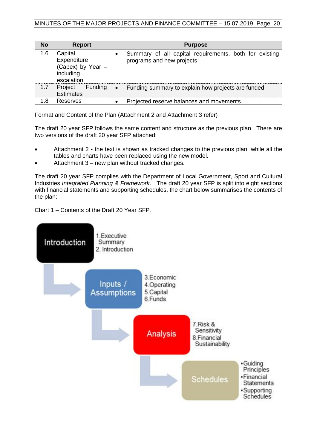#### MINUTES OF THE MAJOR PROJECTS AND FINANCE COMMITTEE – 15.07.2019 Page 20

| <b>No</b> | <b>Report</b>                                                          |           | <b>Purpose</b>                                                                       |
|-----------|------------------------------------------------------------------------|-----------|--------------------------------------------------------------------------------------|
| 1.6       | Capital<br>Expenditure<br>(Capex) by Year -<br>including<br>escalation | $\bullet$ | Summary of all capital requirements, both for existing<br>programs and new projects. |
| 1.7       | Project Funding<br><b>Estimates</b>                                    | $\bullet$ | Funding summary to explain how projects are funded.                                  |
| 1.8       | Reserves                                                               | $\bullet$ | Projected reserve balances and movements.                                            |

Format and Content of the Plan (Attachment 2 and Attachment 3 refer)

The draft 20 year SFP follows the same content and structure as the previous plan. There are two versions of the draft 20 year SFP attached:

- Attachment 2 the text is shown as tracked changes to the previous plan, while all the tables and charts have been replaced using the new model.
- Attachment 3 new plan without tracked changes.

The draft 20 year SFP complies with the Department of Local Government, Sport and Cultural Industries *Integrated Planning & Framework*. The draft 20 year SFP is split into eight sections with financial statements and supporting schedules, the chart below summarises the contents of the plan:

Chart 1 – Contents of the Draft 20 Year SFP*.*

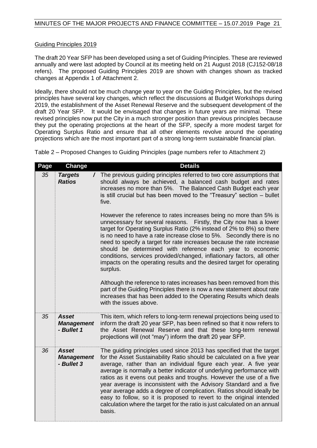#### Guiding Principles 2019

The draft 20 Year SFP has been developed using a set of Guiding Principles. These are reviewed annually and were last adopted by Council at its meeting held on 21 August 2018 (CJ152-08/18 refers). The proposed Guiding Principles 2019 are shown with changes shown as tracked changes at Appendix 1 of Attachment 2.

Ideally, there should not be much change year to year on the Guiding Principles, but the revised principles have several key changes, which reflect the discussions at Budget Workshops during 2019, the establishment of the Asset Renewal Reserve and the subsequent development of the draft 20 Year SFP. It would be envisaged that changes in future years are minimal. These revised principles now put the City in a much stronger position than previous principles because they put the operating projections at the heart of the SFP, specify a more modest target for Operating Surplus Ratio and ensure that all other elements revolve around the operating projections which are the most important part of a strong long-term sustainable financial plan.

Table 2 – Proposed Changes to Guiding Principles (page numbers refer to Attachment 2)

| Page | Change                                          | <b>Details</b>                                                                                                                                                                                                                                                                                                                                                                                                                                                                                                                                                                                                                                                                   |
|------|-------------------------------------------------|----------------------------------------------------------------------------------------------------------------------------------------------------------------------------------------------------------------------------------------------------------------------------------------------------------------------------------------------------------------------------------------------------------------------------------------------------------------------------------------------------------------------------------------------------------------------------------------------------------------------------------------------------------------------------------|
| 35   | <b>Targets</b><br><b>Ratios</b>                 | / The previous guiding principles referred to two core assumptions that<br>should always be achieved, a balanced cash budget and rates<br>increases no more than 5%. The Balanced Cash Budget each year<br>is still crucial but has been moved to the "Treasury" section - bullet<br>five.                                                                                                                                                                                                                                                                                                                                                                                       |
|      |                                                 | However the reference to rates increases being no more than 5% is<br>unnecessary for several reasons. Firstly, the City now has a lower<br>target for Operating Surplus Ratio (2% instead of 2% to 8%) so there<br>is no need to have a rate increase close to 5%. Secondly there is no<br>need to specify a target for rate increases because the rate increase<br>should be determined with reference each year to economic<br>conditions, services provided/changed, inflationary factors, all other<br>impacts on the operating results and the desired target for operating<br>surplus.                                                                                     |
|      |                                                 | Although the reference to rates increases has been removed from this<br>part of the Guiding Principles there is now a new statement about rate<br>increases that has been added to the Operating Results which deals<br>with the issues above.                                                                                                                                                                                                                                                                                                                                                                                                                                   |
| 35   | <b>Asset</b><br><b>Management</b><br>- Bullet 1 | This item, which refers to long-term renewal projections being used to<br>inform the draft 20 year SFP, has been refined so that it now refers to<br>the Asset Renewal Reserve and that these long-term renewal<br>projections will (not "may") inform the draft 20 year SFP.                                                                                                                                                                                                                                                                                                                                                                                                    |
| 36   | <b>Asset</b><br><b>Management</b><br>- Bullet 3 | The guiding principles used since 2013 has specified that the target<br>for the Asset Sustainability Ratio should be calculated on a five year<br>average, rather than an individual figure each year. A five year<br>average is normally a better indicator of underlying performance with<br>ratios as it evens out peaks and troughs. However the use of a five<br>year average is inconsistent with the Advisory Standard and a five<br>year average adds a degree of complication. Ratios should ideally be<br>easy to follow, so it is proposed to revert to the original intended<br>calculation where the target for the ratio is just calculated on an annual<br>basis. |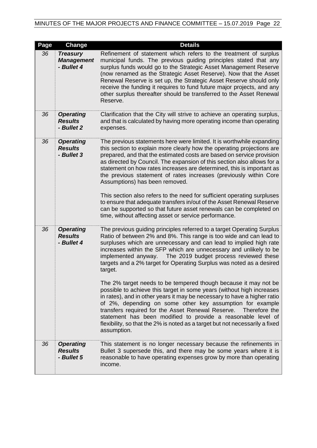# MINUTES OF THE MAJOR PROJECTS AND FINANCE COMMITTEE – 15.07.2019 Page 22

| Page | Change                                             | <b>Details</b>                                                                                                                                                                                                                                                                                                                                                                                                                                                                                                         |
|------|----------------------------------------------------|------------------------------------------------------------------------------------------------------------------------------------------------------------------------------------------------------------------------------------------------------------------------------------------------------------------------------------------------------------------------------------------------------------------------------------------------------------------------------------------------------------------------|
| 36   | <b>Treasury</b><br><b>Management</b><br>- Bullet 4 | Refinement of statement which refers to the treatment of surplus<br>municipal funds. The previous guiding principles stated that any<br>surplus funds would go to the Strategic Asset Management Reserve<br>(now renamed as the Strategic Asset Reserve). Now that the Asset<br>Renewal Reserve is set up, the Strategic Asset Reserve should only<br>receive the funding it requires to fund future major projects, and any<br>other surplus thereafter should be transferred to the Asset Renewal<br>Reserve.        |
| 36   | <b>Operating</b><br><b>Results</b><br>- Bullet 2   | Clarification that the City will strive to achieve an operating surplus,<br>and that is calculated by having more operating income than operating<br>expenses.                                                                                                                                                                                                                                                                                                                                                         |
| 36   | <b>Operating</b><br><b>Results</b><br>- Bullet 3   | The previous statements here were limited. It is worthwhile expanding<br>this section to explain more clearly how the operating projections are<br>prepared, and that the estimated costs are based on service provision<br>as directed by Council. The expansion of this section also allows for a<br>statement on how rates increases are determined, this is important as<br>the previous statement of rates increases (previously within Core<br>Assumptions) has been removed.                                    |
|      |                                                    | This section also refers to the need for sufficient operating surpluses<br>to ensure that adequate transfers in/out of the Asset Renewal Reserve<br>can be supported so that future asset renewals can be completed on<br>time, without affecting asset or service performance.                                                                                                                                                                                                                                        |
| 36   | <b>Operating</b><br><b>Results</b><br>- Bullet 4   | The previous guiding principles referred to a target Operating Surplus<br>Ratio of between 2% and 8%. This range is too wide and can lead to<br>surpluses which are unnecessary and can lead to implied high rate<br>increases within the SFP which are unnecessary and unlikely to be<br>The 2019 budget process reviewed these<br>implemented anyway.<br>targets and a 2% target for Operating Surplus was noted as a desired<br>target.                                                                             |
|      |                                                    | The 2% target needs to be tempered though because it may not be<br>possible to achieve this target in some years (without high increases<br>in rates), and in other years it may be necessary to have a higher ratio<br>of 2%, depending on some other key assumption for example<br>transfers required for the Asset Renewal Reserve.<br>Therefore the<br>statement has been modified to provide a reasonable level of<br>flexibility, so that the 2% is noted as a target but not necessarily a fixed<br>assumption. |
| 36   | <b>Operating</b><br><b>Results</b><br>- Bullet 5   | This statement is no longer necessary because the refinements in<br>Bullet 3 supersede this, and there may be some years where it is<br>reasonable to have operating expenses grow by more than operating<br>income.                                                                                                                                                                                                                                                                                                   |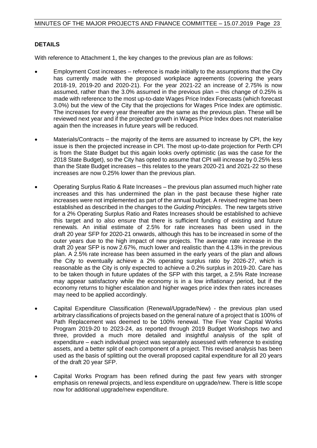#### **DETAILS**

With reference to Attachment 1, the key changes to the previous plan are as follows:

- Employment Cost increases reference is made initially to the assumptions that the City has currently made with the proposed workplace agreements (covering the years 2018-19, 2019-20 and 2020-21). For the year 2021-22 an increase of 2.75% is now assumed, rather than the 3.0% assumed in the previous plan – this change of 0.25% is made with reference to the most up-to-date Wages Price Index Forecasts (which forecast 3.0%) but the view of the City that the projections for Wages Price Index are optimistic. The increases for every year thereafter are the same as the previous plan. These will be reviewed next year and if the projected growth in Wages Price Index does not materialise again then the increases in future years will be reduced.
- Materials/Contracts the majority of the items are assumed to increase by CPI, the key issue is then the projected increase in CPI. The most up-to-date projection for Perth CPI is from the State Budget but this again looks overly optimistic (as was the case for the 2018 State Budget), so the City has opted to assume that CPI will increase by 0.25% less than the State Budget increases – this relates to the years 2020-21 and 2021-22 so these increases are now 0.25% lower than the previous plan.
- Operating Surplus Ratio & Rate Increases the previous plan assumed much higher rate increases and this has undermined the plan in the past because these higher rate increases were not implemented as part of the annual budget. A revised regime has been established as described in the changes to the *Guiding Principles*. The new targets strive for a 2% Operating Surplus Ratio and Rates Increases should be established to achieve this target and to also ensure that there is sufficient funding of existing and future renewals. An initial estimate of 2.5% for rate increases has been used in the draft 20 year SFP for 2020-21 onwards, although this has to be increased in some of the outer years due to the high impact of new projects. The average rate increase in the draft 20 year SFP is now 2.67%, much lower and realistic than the 4.13% in the previous plan. A 2.5% rate increase has been assumed in the early years of the plan and allows the City to eventually achieve a 2% operating surplus ratio by 2026-27, which is reasonable as the City is only expected to achieve a 0.2% surplus in 2019-20. Care has to be taken though in future updates of the SFP with this target, a 2.5% Rate Increase may appear satisfactory while the economy is in a low inflationary period, but if the economy returns to higher escalation and higher wages price index then rates increases may need to be applied accordingly.
- Capital Expenditure Classification (Renewal/Upgrade/New) the previous plan used arbitrary classifications of projects based on the general nature of a project that is 100% of Path Replacement was deemed to be 100% renewal. The Five Year Capital Works Program 2019-20 to 2023-24, as reported through 2019 Budget Workshops two and three, provided a much more detailed and insightful analysis of the split of expenditure – each individual project was separately assessed with reference to existing assets, and a better split of each component of a project. This revised analysis has been used as the basis of splitting out the overall proposed capital expenditure for all 20 years of the draft 20 year SFP.
- Capital Works Program has been refined during the past few years with stronger emphasis on renewal projects, and less expenditure on upgrade/new. There is little scope now for additional upgrade/new expenditure.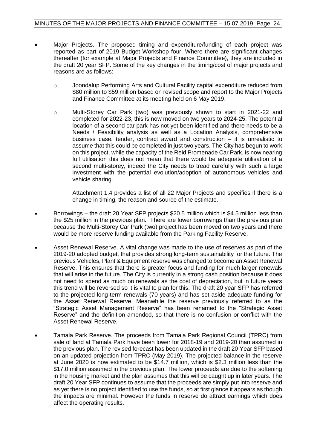- Major Projects. The proposed timing and expenditure/funding of each project was reported as part of 2019 Budget Workshop four. Where there are significant changes thereafter (for example at Major Projects and Finance Committee), they are included in the draft 20 year SFP. Some of the key changes in the timing/cost of major projects and reasons are as follows:
	- o Joondalup Performing Arts and Cultural Facility capital expenditure reduced from \$80 million to \$59 million based on revised scope and report to the Major Projects and Finance Committee at its meeting held on 6 May 2019.
	- o Multi-Storey Car Park (two) was previously shown to start in 2021-22 and completed for 2022-23, this is now moved on two years to 2024-25. The potential location of a second car park has not yet been identified and there needs to be a Needs / Feasibility analysis as well as a Location Analysis, comprehensive business case, tender, contract award and construction – it is unrealistic to assume that this could be completed in just two years. The City has begun to work on this project, while the capacity of the Reid Promenade Car Park, is now nearing full utilisation this does not mean that there would be adequate utilisation of a second multi-storey, indeed the City needs to tread carefully with such a large investment with the potential evolution/adoption of autonomous vehicles and vehicle sharing.

Attachment 1.4 provides a list of all 22 Major Projects and specifies if there is a change in timing, the reason and source of the estimate.

- Borrowings the draft 20 Year SFP projects \$20.5 million which is \$4.5 million less than the \$25 million in the previous plan. There are lower borrowings than the previous plan because the Multi-Storey Car Park (two) project has been moved on two years and there would be more reserve funding available from the Parking Facility Reserve.
- Asset Renewal Reserve. A vital change was made to the use of reserves as part of the 2019-20 adopted budget, that provides strong long-term sustainability for the future. The previous Vehicles, Plant & Equipment reserve was changed to become an Asset Renewal Reserve. This ensures that there is greater focus and funding for much larger renewals that will arise in the future. The City is currently in a strong cash position because it does not need to spend as much on renewals as the cost of depreciation, but in future years this trend will be reversed so it is vital to plan for this. The draft 20 year SFP has referred to the projected long-term renewals (70 years) and has set aside adequate funding for the Asset Renewal Reserve. Meanwhile the reserve previously referred to as the "Strategic Asset Management Reserve" has been renamed to the "Strategic Asset Reserve" and the definition amended, so that there is no confusion or conflict with the Asset Renewal Reserve.
- Tamala Park Reserve. The proceeds from Tamala Park Regional Council (TPRC) from sale of land at Tamala Park have been lower for 2018-19 and 2019-20 than assumed in the previous plan. The revised forecast has been updated in the draft 20 Year SFP based on an updated projection from TPRC (May 2019). The projected balance in the reserve at June 2020 is now estimated to be \$14.7 million, which is \$2.3 million less than the \$17.0 million assumed in the previous plan. The lower proceeds are due to the softening in the housing market and the plan assumes that this will be caught up in later years. The draft 20 Year SFP continues to assume that the proceeds are simply put into reserve and as yet there is no project identified to use the funds, so at first glance it appears as though the impacts are minimal. However the funds in reserve do attract earnings which does affect the operating results.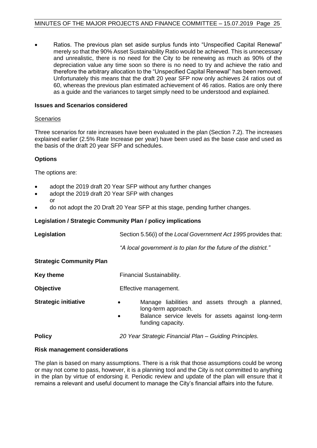• Ratios. The previous plan set aside surplus funds into "Unspecified Capital Renewal" merely so that the 90% Asset Sustainability Ratio would be achieved. This is unnecessary and unrealistic, there is no need for the City to be renewing as much as 90% of the depreciation value any time soon so there is no need to try and achieve the ratio and therefore the arbitrary allocation to the "Unspecified Capital Renewal" has been removed. Unfortunately this means that the draft 20 year SFP now only achieves 24 ratios out of 60, whereas the previous plan estimated achievement of 46 ratios. Ratios are only there as a guide and the variances to target simply need to be understood and explained.

#### **Issues and Scenarios considered**

#### **Scenarios**

Three scenarios for rate increases have been evaluated in the plan (Section 7.2). The increases explained earlier (2.5% Rate Increase per year) have been used as the base case and used as the basis of the draft 20 year SFP and schedules.

#### **Options**

The options are:

- adopt the 2019 draft 20 Year SFP without any further changes
- adopt the 2019 draft 20 Year SFP with changes or
- do not adopt the 20 Draft 20 Year SFP at this stage, pending further changes.

#### **Legislation / Strategic Community Plan / policy implications**

| Legislation                     | Section 5.56(i) of the Local Government Act 1995 provides that:                                                                                                               |  |  |
|---------------------------------|-------------------------------------------------------------------------------------------------------------------------------------------------------------------------------|--|--|
|                                 | "A local government is to plan for the future of the district."                                                                                                               |  |  |
| <b>Strategic Community Plan</b> |                                                                                                                                                                               |  |  |
| <b>Key theme</b>                | Financial Sustainability.                                                                                                                                                     |  |  |
| <b>Objective</b>                | Effective management.                                                                                                                                                         |  |  |
| <b>Strategic initiative</b>     | Manage liabilities and assets through a planned,<br>$\bullet$<br>long-term approach.<br>Balance service levels for assets against long-term<br>$\bullet$<br>funding capacity. |  |  |
| <b>Policy</b>                   | 20 Year Strategic Financial Plan – Guiding Principles.                                                                                                                        |  |  |

#### **Risk management considerations**

The plan is based on many assumptions. There is a risk that those assumptions could be wrong or may not come to pass, however, it is a planning tool and the City is not committed to anything in the plan by virtue of endorsing it. Periodic review and update of the plan will ensure that it remains a relevant and useful document to manage the City's financial affairs into the future.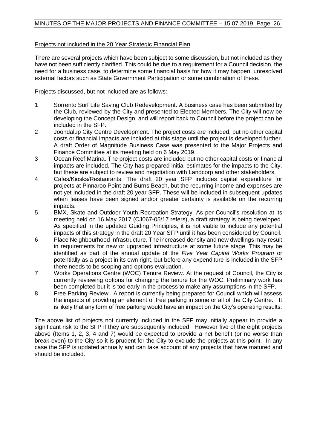#### Projects not included in the 20 Year Strategic Financial Plan

There are several projects which have been subject to some discussion, but not included as they have not been sufficiently clarified. This could be due to a requirement for a Council decision, the need for a business case, to determine some financial basis for how it may happen, unresolved external factors such as State Government Participation or some combination of these.

Projects discussed, but not included are as follows:

- 1 Sorrento Surf Life Saving Club Redevelopment. A business case has been submitted by the Club, reviewed by the City and presented to Elected Members. The City will now be developing the Concept Design, and will report back to Council before the project can be included in the SFP.
- 2 Joondalup City Centre Development. The project costs are included, but no other capital costs or financial impacts are included at this stage until the project is developed further. A draft Order of Magnitude Business Case was presented to the Major Projects and Finance Committee at its meeting held on 6 May 2019.
- 3 Ocean Reef Marina. The project costs are included but no other capital costs or financial impacts are included. The City has prepared initial estimates for the impacts to the City, but these are subject to review and negotiation with Landcorp and other stakeholders.
- 4 Cafes/Kiosks/Restaurants. The draft 20 year SFP includes capital expenditure for projects at Pinnaroo Point and Burns Beach, but the recurring income and expenses are not yet included in the draft 20 year SFP. These will be included in subsequent updates when leases have been signed and/or greater certainty is available on the recurring impacts.
- 5 BMX, Skate and Outdoor Youth Recreation Strategy. As per Council's resolution at its meeting held on 16 May 2017 (CJ067-05/17 refers), a draft strategy is being developed. As specified in the updated Guiding Principles, it is not viable to include any potential impacts of this strategy in the draft 20 Year SFP until it has been considered by Council.
- 6 Place Neighbourhood Infrastructure. The increased density and new dwellings may result in requirements for new or upgraded infrastructure at some future stage. This may be identified as part of the annual update of the *Five Year Capital Works Program* or potentially as a project in its own right, but before any expenditure is included in the SFP there needs to be scoping and options evaluation.
- 7 Works Operations Centre (WOC) Tenure Review. At the request of Council, the City is currently reviewing options for changing the tenure for the WOC. Preliminary work has been completed but it is too early in the process to make any assumptions in the SFP.
- 8 Free Parking Review. A report is currently being prepared for Council which will assess the impacts of providing an element of free parking in some or all of the City Centre. It is likely that any form of free parking would have an impact on the City's operating results.

The above list of projects not currently included in the SFP may initially appear to provide a significant risk to the SFP if they are subsequently included. However five of the eight projects above (Items 1, 2, 3, 4 and 7) would be expected to provide a net benefit (or no worse than break-even) to the City so it is prudent for the City to exclude the projects at this point. In any case the SFP is updated annually and can take account of any projects that have matured and should be included.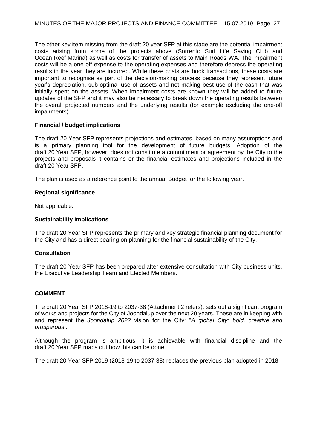The other key item missing from the draft 20 year SFP at this stage are the potential impairment costs arising from some of the projects above (Sorrento Surf Life Saving Club and Ocean Reef Marina) as well as costs for transfer of assets to Main Roads WA. The impairment costs will be a one-off expense to the operating expenses and therefore depress the operating results in the year they are incurred. While these costs are book transactions, these costs are important to recognise as part of the decision-making process because they represent future year's depreciation, sub-optimal use of assets and not making best use of the cash that was initially spent on the assets. When impairment costs are known they will be added to future updates of the SFP and it may also be necessary to break down the operating results between the overall projected numbers and the underlying results (for example excluding the one-off impairments).

#### **Financial / budget implications**

The draft 20 Year SFP represents projections and estimates, based on many assumptions and is a primary planning tool for the development of future budgets. Adoption of the draft 20 Year SFP, however, does not constitute a commitment or agreement by the City to the projects and proposals it contains or the financial estimates and projections included in the draft 20 Year SFP.

The plan is used as a reference point to the annual Budget for the following year.

#### **Regional significance**

Not applicable.

#### **Sustainability implications**

The draft 20 Year SFP represents the primary and key strategic financial planning document for the City and has a direct bearing on planning for the financial sustainability of the City.

#### **Consultation**

The draft 20 Year SFP has been prepared after extensive consultation with City business units, the Executive Leadership Team and Elected Members.

#### **COMMENT**

The draft 20 Year SFP 2018-19 to 2037-38 (Attachment 2 refers), sets out a significant program of works and projects for the City of Joondalup over the next 20 years. These are in keeping with and represent the *Joondalup 2022* vision for the City: "*A global City: bold, creative and prosperous".*

Although the program is ambitious, it is achievable with financial discipline and the draft 20 Year SFP maps out how this can be done.

The draft 20 Year SFP 2019 (2018-19 to 2037-38) replaces the previous plan adopted in 2018.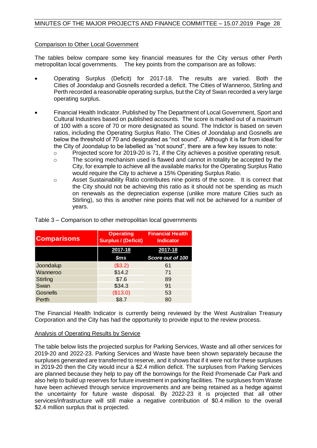#### Comparison to Other Local Government

The tables below compare some key financial measures for the City versus other Perth metropolitan local governments. The key points from the comparison are as follows:

- Operating Surplus (Deficit) for 2017-18. The results are varied. Both the Cities of Joondalup and Gosnells recorded a deficit. The Cities of Wanneroo, Stirling and Perth recorded a reasonable operating surplus, but the City of Swan recorded a very large operating surplus.
- Financial Health Indicator. Published by The Department of Local Government, Sport and Cultural Industries based on published accounts. The score is marked out of a maximum of 100 with a score of 70 or more designated as sound. The Indictor is based on seven ratios, including the Operating Surplus Ratio. The Cities of Joondalup and Gosnells are below the threshold of 70 and designated as "not sound". Although it is far from ideal for the City of Joondalup to be labelled as "not sound", there are a few key issues to note:
	- o Projected score for 2019-20 is 71, if the City achieves a positive operating result.
	- o The scoring mechanism used is flawed and cannot in totality be accepted by the City, for example to achieve all the available marks for the Operating Surplus Ratio would require the City to achieve a 15% Operating Surplus Ratio.
	- o Asset Sustainability Ratio contributes nine points of the score. It is correct that the City should not be achieving this ratio as it should not be spending as much on renewals as the depreciation expense (unlike more mature Cities such as Stirling), so this is another nine points that will not be achieved for a number of years.

| <b>Comparisons</b> | <b>Operating</b><br><b>Surplus / (Deficit)</b> | <b>Financial Health</b><br><b>Indicator</b> |
|--------------------|------------------------------------------------|---------------------------------------------|
|                    | 2017-18                                        | 2017-18                                     |
|                    | \$ms                                           | Score out of 100                            |
| Joondalup          | (\$3.2)                                        | 61                                          |
| Wanneroo           | \$14.2                                         | 71                                          |
| Stirling           | \$7.6                                          | 89                                          |
| Swan               | \$34.3                                         | 91                                          |
| <b>Gosnells</b>    | (\$13.0)                                       | 53                                          |
| Perth              | \$8.7                                          | 80                                          |

Table 3 – Comparison to other metropolitan local governments

The Financial Health Indicator is currently being reviewed by the West Australian Treasury Corporation and the City has had the opportunity to provide input to the review process.

#### Analysis of Operating Results by Service

The table below lists the projected surplus for Parking Services, Waste and all other services for 2019-20 and 2022-23. Parking Services and Waste have been shown separately because the surpluses generated are transferred to reserve, and it shows that if it were not for these surpluses in 2019-20 then the City would incur a \$2.4 million deficit. The surpluses from Parking Services are planned because they help to pay off the borrowings for the Reid Promenade Car Park and also help to build up reserves for future investment in parking facilities. The surpluses from Waste have been achieved through service improvements and are being retained as a hedge against the uncertainty for future waste disposal. By 2022-23 it is projected that all other services/infrastructure will still make a negative contribution of \$0.4 million to the overall \$2.4 million surplus that is projected.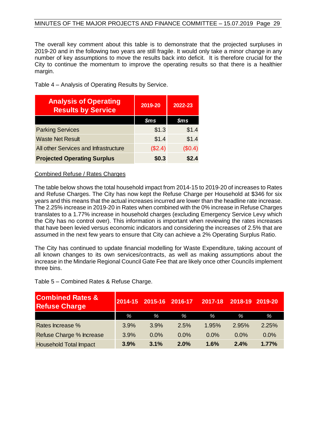The overall key comment about this table is to demonstrate that the projected surpluses in 2019-20 and in the following two years are still fragile. It would only take a minor change in any number of key assumptions to move the results back into deficit. It is therefore crucial for the City to continue the momentum to improve the operating results so that there is a healthier margin.

Table 4 – Analysis of Operating Results by Service.

| <b>Analysis of Operating</b><br><b>Results by Service</b> | 2019-20        | 2022-23        |
|-----------------------------------------------------------|----------------|----------------|
|                                                           | $\mathsf{Sms}$ | $\mathsf{Sms}$ |
| <b>Parking Services</b>                                   | \$1.3          | \$1.4          |
| <b>Waste Net Result</b>                                   | \$1.4          | \$1.4          |
| All other Services and Infrastructure                     | (\$2.4)        | (\$0.4)        |
| <b>Projected Operating Surplus</b>                        | \$0.3          | \$2.4          |

#### Combined Refuse / Rates Charges

The table below shows the total household impact from 2014-15 to 2019-20 of increases to Rates and Refuse Charges. The City has now kept the Refuse Charge per Household at \$346 for six years and this means that the actual increases incurred are lower than the headline rate increase. The 2.25% increase in 2019-20 in Rates when combined with the 0% increase in Refuse Charges translates to a 1.77% increase in household charges (excluding Emergency Service Levy which the City has no control over). This information is important when reviewing the rates increases that have been levied versus economic indicators and considering the increases of 2.5% that are assumed in the next few years to ensure that City can achieve a 2% Operating Surplus Ratio.

The City has continued to update financial modelling for Waste Expenditure, taking account of all known changes to its own services/contracts, as well as making assumptions about the increase in the Mindarie Regional Council Gate Fee that are likely once other Councils implement three bins.

Table 5 – Combined Rates & Refuse Charge.

| <b>Combined Rates &amp;</b><br><b>Refuse Charge</b> | 2014-15 | 2015-16 | 2016-17 | 2017-18 | 2018-19 | 2019-20 |
|-----------------------------------------------------|---------|---------|---------|---------|---------|---------|
|                                                     | %       | $\%$    | $\%$    | %       | %       | %       |
| Rates Increase %                                    | 3.9%    | 3.9%    | 2.5%    | 1.95%   | 2.95%   | 2.25%   |
| Refuse Charge % Increase                            | 3.9%    | $0.0\%$ | $0.0\%$ | $0.0\%$ | 0.0%    | $0.0\%$ |
| <b>Household Total Impact</b>                       | 3.9%    | 3.1%    | 2.0%    | 1.6%    | 2.4%    | 1.77%   |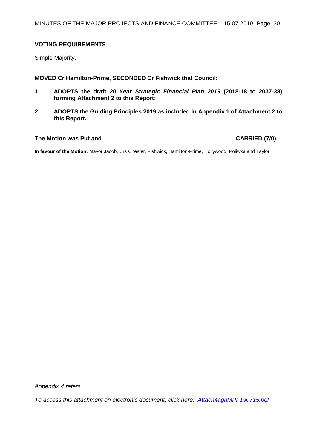#### **VOTING REQUIREMENTS**

Simple Majority.

**MOVED Cr Hamilton-Prime, SECONDED Cr Fishwick that Council:**

- **1 ADOPTS the draft** *20 Year Strategic Financial Plan 2019* **(2018-18 to 2037-38) forming Attachment 2 to this Report;**
- **2 ADOPTS the Guiding Principles 2019 as included in Appendix 1 of Attachment 2 to this Report.**

#### **The Motion was Put and CARRIED (7/0)**

**In favour of the Motion:** Mayor Jacob, Crs Chester, Fishwick, Hamilton-Prime, Hollywood, Poliwka and Taylor.

*Appendix 4 refers*

*To access this attachment on electronic document, click here: [Attach4agnMPF190715.pdf](http://www.joondalup.wa.gov.au/files/committees/MPFI/2019/Attach4agnMPF190715.pdf)*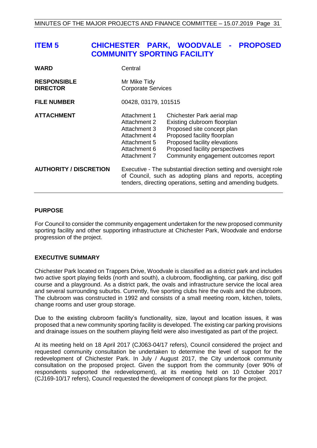# <span id="page-30-0"></span>**ITEM 5 CHICHESTER PARK, WOODVALE - PROPOSED COMMUNITY SPORTING FACILITY**

| <b>WARD</b>                           | Central                                                                                                                                                                                       |                                                                                                                                                                                                                                  |  |  |
|---------------------------------------|-----------------------------------------------------------------------------------------------------------------------------------------------------------------------------------------------|----------------------------------------------------------------------------------------------------------------------------------------------------------------------------------------------------------------------------------|--|--|
| <b>RESPONSIBLE</b><br><b>DIRECTOR</b> | Mr Mike Tidy<br><b>Corporate Services</b>                                                                                                                                                     |                                                                                                                                                                                                                                  |  |  |
| <b>FILE NUMBER</b>                    | 00428, 03179, 101515                                                                                                                                                                          |                                                                                                                                                                                                                                  |  |  |
| <b>ATTACHMENT</b>                     | Attachment 1<br>Attachment 2<br>Attachment 3<br>Attachment 4<br>Attachment 5<br>Attachment 6<br>Attachment 7                                                                                  | Chichester Park aerial map<br>Existing clubroom floorplan<br>Proposed site concept plan<br>Proposed facility floorplan<br>Proposed facility elevations<br>Proposed facility perspectives<br>Community engagement outcomes report |  |  |
| <b>AUTHORITY / DISCRETION</b>         | Executive - The substantial direction setting and oversight role<br>of Council, such as adopting plans and reports, accepting<br>tenders, directing operations, setting and amending budgets. |                                                                                                                                                                                                                                  |  |  |

#### **PURPOSE**

For Council to consider the community engagement undertaken for the new proposed community sporting facility and other supporting infrastructure at Chichester Park, Woodvale and endorse progression of the project.

#### **EXECUTIVE SUMMARY**

Chichester Park located on Trappers Drive, Woodvale is classified as a district park and includes two active sport playing fields (north and south), a clubroom, floodlighting, car parking, disc golf course and a playground. As a district park, the ovals and infrastructure service the local area and several surrounding suburbs. Currently, five sporting clubs hire the ovals and the clubroom. The clubroom was constructed in 1992 and consists of a small meeting room, kitchen, toilets, change rooms and user group storage.

Due to the existing clubroom facility's functionality, size, layout and location issues, it was proposed that a new community sporting facility is developed. The existing car parking provisions and drainage issues on the southern playing field were also investigated as part of the project.

At its meeting held on 18 April 2017 (CJ063-04/17 refers), Council considered the project and requested community consultation be undertaken to determine the level of support for the redevelopment of Chichester Park. In July / August 2017, the City undertook community consultation on the proposed project. Given the support from the community (over 90% of respondents supported the redevelopment), at its meeting held on 10 October 2017 (CJ169-10/17 refers), Council requested the development of concept plans for the project.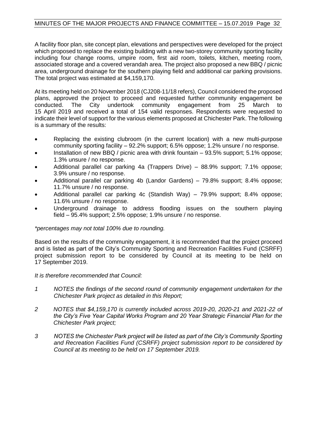A facility floor plan, site concept plan, elevations and perspectives were developed for the project which proposed to replace the existing building with a new two-storey community sporting facility including four change rooms, umpire room, first aid room, toilets, kitchen, meeting room, associated storage and a covered verandah area. The project also proposed a new BBQ / picnic area, underground drainage for the southern playing field and additional car parking provisions. The total project was estimated at \$4,159,170.

At its meeting held on 20 November 2018 (CJ208-11/18 refers), Council considered the proposed plans, approved the project to proceed and requested further community engagement be conducted. The City undertook community engagement from 25 March to engagement from 25 March to 15 April 2019 and received a total of 154 valid responses. Respondents were requested to indicate their level of support for the various elements proposed at Chichester Park. The following is a summary of the results:

- Replacing the existing clubroom (in the current location) with a new multi-purpose community sporting facility – 92.2% support; 6.5% oppose; 1.2% unsure / no response.
- Installation of new BBQ / picnic area with drink fountain 93.5% support; 5.1% oppose; 1.3% unsure / no response.
- Additional parallel car parking 4a (Trappers Drive) 88.9% support; 7.1% oppose; 3.9% unsure / no response.
- Additional parallel car parking 4b (Landor Gardens) 79.8% support; 8.4% oppose; 11.7% unsure / no response.
- Additional parallel car parking 4c (Standish Way) 79.9% support; 8.4% oppose; 11.6% unsure / no response.
- Underground drainage to address flooding issues on the southern playing field – 95.4% support; 2.5% oppose; 1.9% unsure / no response.

#### *\*percentages may not total 100% due to rounding.*

Based on the results of the community engagement, it is recommended that the project proceed and is listed as part of the City's Community Sporting and Recreation Facilities Fund (CSRFF) project submission report to be considered by Council at its meeting to be held on 17 September 2019.

#### *It is therefore recommended that Council:*

- *1 NOTES the findings of the second round of community engagement undertaken for the Chichester Park project as detailed in this Report;*
- *2 NOTES that \$4,159,170 is currently included across 2019-20, 2020-21 and 2021-22 of the City's Five Year Capital Works Program and 20 Year Strategic Financial Plan for the Chichester Park project;*
- *3 NOTES the Chichester Park project will be listed as part of the City's Community Sporting and Recreation Facilities Fund (CSRFF) project submission report to be considered by Council at its meeting to be held on 17 September 2019.*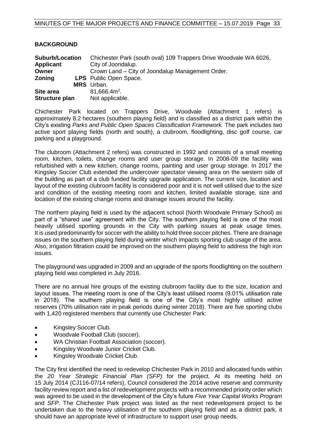| <b>Suburb/Location</b> | Chichester Park (south oval) 109 Trappers Drive Woodvale WA 6026. |
|------------------------|-------------------------------------------------------------------|
| <b>Applicant</b>       | City of Joondalup.                                                |
| Owner                  | Crown Land – City of Joondalup Management Order.                  |
| <b>Zoning</b>          | <b>LPS</b> Public Open Space.                                     |
|                        | <b>MRS</b> Urban.                                                 |
| Site area              | $81,666.4m^2$ .                                                   |
| Structure plan         | Not applicable.                                                   |

Chichester Park located on Trappers Drive, Woodvale (Attachment 1 refers) is approximately 8.2 hectares (southern playing field) and is classified as a district park within the City's existing *Parks and Public Open Spaces Classification Framework.* The park includes two active sport playing fields (north and south), a clubroom, floodlighting, disc golf course, car parking and a playground.

The clubroom (Attachment 2 refers) was constructed in 1992 and consists of a small meeting room, kitchen, toilets, change rooms and user group storage. In 2008-09 the facility was refurbished with a new kitchen, change rooms, painting and user group storage. In 2017 the Kingsley Soccer Club extended the undercover spectator viewing area on the western side of the building as part of a club funded facility upgrade application. The current size, location and layout of the existing clubroom facility is considered poor and it is not well utilised due to the size and condition of the existing meeting room and kitchen, limited available storage, size and location of the existing change rooms and drainage issues around the facility.

The northern playing field is used by the adjacent school (North Woodvale Primary School) as part of a "shared use" agreement with the City. The southern playing field is one of the most heavily utilised sporting grounds in the City with parking issues at peak usage times. It is used predominantly for soccer with the ability to hold three soccer pitches. There are drainage issues on the southern playing field during winter which impacts sporting club usage of the area. Also, irrigation filtration could be improved on the southern playing field to address the high iron issues.

The playground was upgraded in 2009 and an upgrade of the sports floodlighting on the southern playing field was completed in July 2016.

There are no annual hire groups of the existing clubroom facility due to the size, location and layout issues. The meeting room is one of the City's least utilised rooms (9.01% utilisation rate in 2018). The southern playing field is one of the City's most highly utilised active reserves (70% utilisation rate in peak periods during winter 2018). There are five sporting clubs with 1,420 registered members that currently use Chichester Park:

• Kingsley Soccer Club.

**BACKGROUND**

- Woodvale Football Club (soccer).
- WA Christian Football Association (soccer).
- Kingsley Woodvale Junior Cricket Club.
- Kingsley Woodvale Cricket Club.

The City first identified the need to redevelop Chichester Park in 2010 and allocated funds within the *20 Year Strategic Financial Plan (SFP)* for the project*.* At its meeting held on 15 July 2014 (CJ116-07/14 refers), Council considered the 2014 active reserve and community facility review report and a list of redevelopment projects with a recommended priority order which was agreed to be used in the development of the City's future *Five Year Capital Works Program* and *SFP*. The Chichester Park project was listed as the next redevelopment project to be undertaken due to the heavy utilisation of the southern playing field and as a district park, it should have an appropriate level of infrastructure to support user group needs.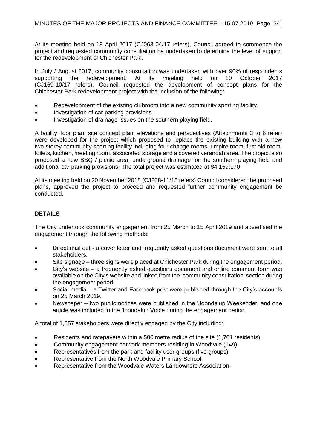At its meeting held on 18 April 2017 (CJ063-04/17 refers), Council agreed to commence the project and requested community consultation be undertaken to determine the level of support for the redevelopment of Chichester Park.

In July / August 2017, community consultation was undertaken with over 90% of respondents supporting the redevelopment. At its meeting held on 10 October 2017 (CJ169-10/17 refers), Council requested the development of concept plans for the Chichester Park redevelopment project with the inclusion of the following:

- Redevelopment of the existing clubroom into a new community sporting facility.
- Investigation of car parking provisions.
- Investigation of drainage issues on the southern playing field.

A facility floor plan, site concept plan, elevations and perspectives (Attachments 3 to 6 refer) were developed for the project which proposed to replace the existing building with a new two-storey community sporting facility including four change rooms, umpire room, first aid room, toilets, kitchen, meeting room, associated storage and a covered verandah area. The project also proposed a new BBQ / picnic area, underground drainage for the southern playing field and additional car parking provisions. The total project was estimated at \$4,159,170.

At its meeting held on 20 November 2018 (CJ208-11/18 refers) Council considered the proposed plans, approved the project to proceed and requested further community engagement be conducted.

#### **DETAILS**

The City undertook community engagement from 25 March to 15 April 2019 and advertised the engagement through the following methods:

- Direct mail out a cover letter and frequently asked questions document were sent to all stakeholders.
- Site signage three signs were placed at Chichester Park during the engagement period.
- City's website  $-$  a frequently asked questions document and online comment form was available on the City's website and linked from the 'community consultation' section during the engagement period.
- Social media a Twitter and Facebook post were published through the City's accounts on 25 March 2019.
- Newspaper two public notices were published in the 'Joondalup Weekender' and one article was included in the Joondalup Voice during the engagement period.

A total of 1,857 stakeholders were directly engaged by the City including:

- Residents and ratepayers within a 500 metre radius of the site (1,701 residents).
- Community engagement network members residing in Woodvale (149).
- Representatives from the park and facility user groups (five groups).
- Representative from the North Woodvale Primary School.
- Representative from the Woodvale Waters Landowners Association.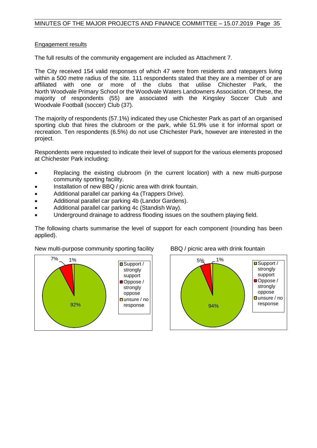#### Engagement results

The full results of the community engagement are included as Attachment 7.

The City received 154 valid responses of which 47 were from residents and ratepayers living within a 500 metre radius of the site. 111 respondents stated that they are a member of or are affiliated with one or more of the clubs that utilise Chichester Park, the North Woodvale Primary School or the Woodvale Waters Landowners Association. Of these, the majority of respondents (55) are associated with the Kingsley Soccer Club and Woodvale Football (soccer) Club (37).

The majority of respondents (57.1%) indicated they use Chichester Park as part of an organised sporting club that hires the clubroom or the park, while 51.9% use it for informal sport or recreation. Ten respondents (6.5%) do not use Chichester Park, however are interested in the project.

Respondents were requested to indicate their level of support for the various elements proposed at Chichester Park including:

- Replacing the existing clubroom (in the current location) with a new multi-purpose community sporting facility.
- Installation of new BBQ / picnic area with drink fountain.
- Additional parallel car parking 4a (Trappers Drive).
- Additional parallel car parking 4b (Landor Gardens).
- Additional parallel car parking 4c (Standish Way).
- Underground drainage to address flooding issues on the southern playing field.

The following charts summarise the level of support for each component (rounding has been applied).



New multi-purpose community sporting facility BBQ / picnic area with drink fountain

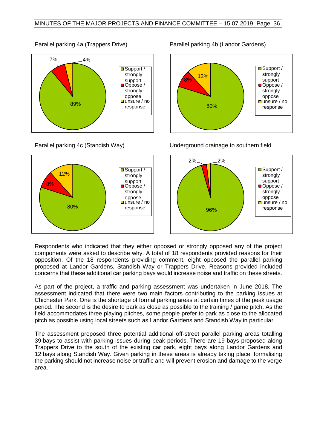



 $response$   $\vert$   $\vert$   $\vert$   $\vert$   $\vert$   $\vert$  80% 8% 12% ■Support / strongly support ■Oppose / strongly oppose **□** unsure / no response

Parallel parking 4c (Standish Way) Underground drainage to southern field



Respondents who indicated that they either opposed or strongly opposed any of the project components were asked to describe why. A total of 18 respondents provided reasons for their opposition. Of the 18 respondents providing comment, eight opposed the parallel parking proposed at Landor Gardens, Standish Way or Trappers Drive. Reasons provided included concerns that these additional car parking bays would increase noise and traffic on these streets.

As part of the project, a traffic and parking assessment was undertaken in June 2018. The assessment indicated that there were two main factors contributing to the parking issues at Chichester Park. One is the shortage of formal parking areas at certain times of the peak usage period. The second is the desire to park as close as possible to the training / game pitch. As the field accommodates three playing pitches, some people prefer to park as close to the allocated pitch as possible using local streets such as Landor Gardens and Standish Way in particular.

The assessment proposed three potential additional off-street parallel parking areas totalling 39 bays to assist with parking issues during peak periods. There are 19 bays proposed along Trappers Drive to the south of the existing car park, eight bays along Landor Gardens and 12 bays along Standish Way. Given parking in these areas is already taking place, formalising the parking should not increase noise or traffic and will prevent erosion and damage to the verge area.

Parallel parking 4a (Trappers Drive) Parallel parking 4b (Landor Gardens)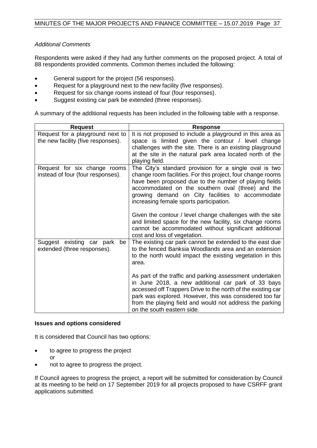#### *Additional Comments*

Respondents were asked if they had any further comments on the proposed project. A total of 88 respondents provided comments. Common themes included the following:

- General support for the project (56 responses).
- Request for a playground next to the new facility (five responses).
- Request for six change rooms instead of four (four responses).
- Suggest existing car park be extended (three responses).

A summary of the additional requests has been included in the following table with a response.

| <b>Request</b>                                                         | <b>Response</b>                                                                                                                                                                                                                                                                                                                                                                                                                                                                                                                                       |
|------------------------------------------------------------------------|-------------------------------------------------------------------------------------------------------------------------------------------------------------------------------------------------------------------------------------------------------------------------------------------------------------------------------------------------------------------------------------------------------------------------------------------------------------------------------------------------------------------------------------------------------|
| Request for a playground next to<br>the new facility (five responses). | It is not proposed to include a playground in this area as<br>space is limited given the contour / level change<br>challenges with the site. There is an existing playground<br>at the site in the natural park area located north of the<br>playing field.                                                                                                                                                                                                                                                                                           |
| Request for six change rooms<br>instead of four (four responses).      | The City's standard provision for a single oval is two<br>change room facilities. For this project, four change rooms<br>have been proposed due to the number of playing fields<br>accommodated on the southern oval (three) and the<br>growing demand on City facilities to accommodate<br>increasing female sports participation.<br>Given the contour / level change challenges with the site<br>and limited space for the new facility, six change rooms<br>cannot be accommodated without significant additional<br>cost and loss of vegetation. |
| Suggest existing car park<br>be<br>extended (three responses).         | The existing car park cannot be extended to the east due<br>to the fenced Banksia Woodlands area and an extension<br>to the north would impact the existing vegetation in this<br>area.<br>As part of the traffic and parking assessment undertaken<br>in June 2018, a new additional car park of 33 bays<br>accessed off Trappers Drive to the north of the existing car<br>park was explored. However, this was considered too far<br>from the playing field and would not address the parking<br>on the south eastern side.                        |

#### **Issues and options considered**

It is considered that Council has two options:

- to agree to progress the project or
- not to agree to progress the project.

If Council agrees to progress the project, a report will be submitted for consideration by Council at its meeting to be held on 17 September 2019 for all projects proposed to have CSRFF grant applications submitted.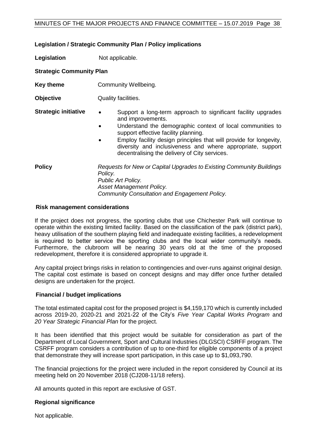#### MINUTES OF THE MAJOR PROJECTS AND FINANCE COMMITTEE – 15.07.2019 Page 38

#### **Legislation / Strategic Community Plan / Policy implications**

**Legislation** Not applicable.

### **Strategic Community Plan**

- **Key theme Community Wellbeing.**
- **Objective** Quality facilities.
- **Strategic initiative •** Support a long-term approach to significant facility upgrades and improvements.
	- Understand the demographic context of local communities to support effective facility planning.
	- Employ facility design principles that will provide for longevity, diversity and inclusiveness and where appropriate, support decentralising the delivery of City services.

**Policy** *Requests for New or Capital Upgrades to Existing Community Buildings Policy. Public Art Policy. Asset Management Policy. Community Consultation and Engagement Policy.* 

#### **Risk management considerations**

If the project does not progress, the sporting clubs that use Chichester Park will continue to operate within the existing limited facility. Based on the classification of the park (district park), heavy utilisation of the southern playing field and inadequate existing facilities, a redevelopment is required to better service the sporting clubs and the local wider community's needs. Furthermore, the clubroom will be nearing 30 years old at the time of the proposed redevelopment, therefore it is considered appropriate to upgrade it.

Any capital project brings risks in relation to contingencies and over-runs against original design. The capital cost estimate is based on concept designs and may differ once further detailed designs are undertaken for the project.

#### **Financial / budget implications**

The total estimated capital cost for the proposed project is \$4,159,170 which is currently included across 2019-20, 2020-21 and 2021-22 of the City's *Five Year Capital Works Program* and *20 Year Strategic Financial Plan* for the project.

It has been identified that this project would be suitable for consideration as part of the Department of Local Government, Sport and Cultural Industries (DLGSCI) CSRFF program. The CSRFF program considers a contribution of up to one-third for eligible components of a project that demonstrate they will increase sport participation, in this case up to \$1,093,790.

The financial projections for the project were included in the report considered by Council at its meeting held on 20 November 2018 (CJ208-11/18 refers).

All amounts quoted in this report are exclusive of GST.

#### **Regional significance**

Not applicable.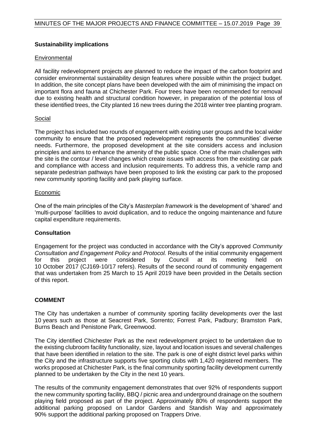#### **Sustainability implications**

#### **Environmental**

All facility redevelopment projects are planned to reduce the impact of the carbon footprint and consider environmental sustainability design features where possible within the project budget. In addition, the site concept plans have been developed with the aim of minimising the impact on important flora and fauna at Chichester Park. Four trees have been recommended for removal due to existing health and structural condition however, in preparation of the potential loss of these identified trees, the City planted 16 new trees during the 2018 winter tree planting program.

#### **Social**

The project has included two rounds of engagement with existing user groups and the local wider community to ensure that the proposed redevelopment represents the communities' diverse needs. Furthermore, the proposed development at the site considers access and inclusion principles and aims to enhance the amenity of the public space. One of the main challenges with the site is the contour / level changes which create issues with access from the existing car park and compliance with access and inclusion requirements. To address this, a vehicle ramp and separate pedestrian pathways have been proposed to link the existing car park to the proposed new community sporting facility and park playing surface.

#### Economic

One of the main principles of the City's *Masterplan framework* is the development of 'shared' and 'multi-purpose' facilities to avoid duplication, and to reduce the ongoing maintenance and future capital expenditure requirements.

### **Consultation**

Engagement for the project was conducted in accordance with the City's approved *Community Consultation and Engagement Policy* and *Protocol.* Results of the initial community engagement for this project were considered by Council at its meeting held on 10 October 2017 (CJ169-10/17 refers). Results of the second round of community engagement that was undertaken from 25 March to 15 April 2019 have been provided in the Details section of this report.

#### **COMMENT**

The City has undertaken a number of community sporting facility developments over the last 10 years such as those at Seacrest Park, Sorrento; Forrest Park, Padbury; Bramston Park, Burns Beach and Penistone Park, Greenwood.

The City identified Chichester Park as the next redevelopment project to be undertaken due to the existing clubroom facility functionality, size, layout and location issues and several challenges that have been identified in relation to the site. The park is one of eight district level parks within the City and the infrastructure supports five sporting clubs with 1,420 registered members. The works proposed at Chichester Park, is the final community sporting facility development currently planned to be undertaken by the City in the next 10 years.

The results of the community engagement demonstrates that over 92% of respondents support the new community sporting facility, BBQ / picnic area and underground drainage on the southern playing field proposed as part of the project. Approximately 80% of respondents support the additional parking proposed on Landor Gardens and Standish Way and approximately 90% support the additional parking proposed on Trappers Drive.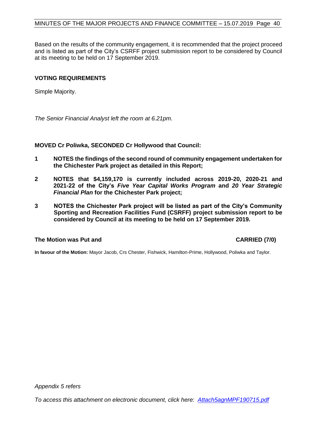Based on the results of the community engagement, it is recommended that the project proceed and is listed as part of the City's CSRFF project submission report to be considered by Council at its meeting to be held on 17 September 2019.

#### **VOTING REQUIREMENTS**

Simple Majority.

*The Senior Financial Analyst left the room at 6.21pm.*

#### **MOVED Cr Poliwka, SECONDED Cr Hollywood that Council:**

- **1 NOTES the findings of the second round of community engagement undertaken for the Chichester Park project as detailed in this Report;**
- **2 NOTES that \$4,159,170 is currently included across 2019-20, 2020-21 and 2021-22 of the City's** *Five Year Capital Works Program* **and** *20 Year Strategic Financial Plan* **for the Chichester Park project;**
- **3 NOTES the Chichester Park project will be listed as part of the City's Community Sporting and Recreation Facilities Fund (CSRFF) project submission report to be considered by Council at its meeting to be held on 17 September 2019.**

#### **The Motion was Put and CARRIED (7/0)**

**In favour of the Motion:** Mayor Jacob, Crs Chester, Fishwick, Hamilton-Prime, Hollywood, Poliwka and Taylor.

*Appendix 5 refers*

*To access this attachment on electronic document, click here: [Attach5agnMPF190715.pdf](http://www.joondalup.wa.gov.au/files/committees/MPFI/2019/Attach5agnMPF190715.pdf)*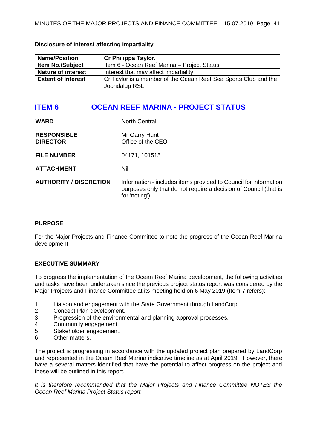| <b>Name/Position</b>      | Cr Philippa Taylor.                                             |
|---------------------------|-----------------------------------------------------------------|
| <b>Item No./Subject</b>   | Item 6 - Ocean Reef Marina - Project Status.                    |
| <b>Nature of interest</b> | Interest that may affect impartiality.                          |
| <b>Extent of Interest</b> | Cr Taylor is a member of the Ocean Reef Sea Sports Club and the |
|                           | Joondalup RSL.                                                  |

#### **Disclosure of interest affecting impartiality**

# <span id="page-40-0"></span>**ITEM 6 OCEAN REEF MARINA - PROJECT STATUS**

| <b>WARD</b>                           | <b>North Central</b>                                                                                                                                   |
|---------------------------------------|--------------------------------------------------------------------------------------------------------------------------------------------------------|
| <b>RESPONSIBLE</b><br><b>DIRECTOR</b> | Mr Garry Hunt<br>Office of the CEO                                                                                                                     |
| <b>FILE NUMBER</b>                    | 04171, 101515                                                                                                                                          |
| <b>ATTACHMENT</b>                     | Nil.                                                                                                                                                   |
| <b>AUTHORITY / DISCRETION</b>         | Information - includes items provided to Council for information<br>purposes only that do not require a decision of Council (that is<br>for 'noting'). |

#### **PURPOSE**

For the Major Projects and Finance Committee to note the progress of the Ocean Reef Marina development.

### **EXECUTIVE SUMMARY**

To progress the implementation of the Ocean Reef Marina development, the following activities and tasks have been undertaken since the previous project status report was considered by the Major Projects and Finance Committee at its meeting held on 6 May 2019 (Item 7 refers):

- 1 Liaison and engagement with the State Government through LandCorp.
- 2 Concept Plan development.
- 3 Progression of the environmental and planning approval processes.
- 4 Community engagement.
- 5 Stakeholder engagement.
- 6 Other matters.

The project is progressing in accordance with the updated project plan prepared by LandCorp and represented in the Ocean Reef Marina indicative timeline as at April 2019. However, there have a several matters identified that have the potential to affect progress on the project and these will be outlined in this report.

*It is therefore recommended that the Major Projects and Finance Committee NOTES the Ocean Reef Marina Project Status report.*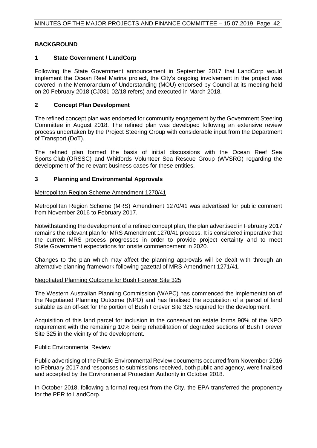### **BACKGROUND**

#### **1 State Government / LandCorp**

Following the State Government announcement in September 2017 that LandCorp would implement the Ocean Reef Marina project, the City's ongoing involvement in the project was covered in the Memorandum of Understanding (MOU) endorsed by Council at its meeting held on 20 February 2018 (CJ031-02/18 refers) and executed in March 2018.

#### **2 Concept Plan Development**

The refined concept plan was endorsed for community engagement by the Government Steering Committee in August 2018. The refined plan was developed following an extensive review process undertaken by the Project Steering Group with considerable input from the Department of Transport (DoT).

The refined plan formed the basis of initial discussions with the Ocean Reef Sea Sports Club (ORSSC) and Whitfords Volunteer Sea Rescue Group (WVSRG) regarding the development of the relevant business cases for these entities.

#### **3 Planning and Environmental Approvals**

#### Metropolitan Region Scheme Amendment 1270/41

Metropolitan Region Scheme (MRS) Amendment 1270/41 was advertised for public comment from November 2016 to February 2017.

Notwithstanding the development of a refined concept plan, the plan advertised in February 2017 remains the relevant plan for MRS Amendment 1270/41 process. It is considered imperative that the current MRS process progresses in order to provide project certainty and to meet State Government expectations for onsite commencement in 2020.

Changes to the plan which may affect the planning approvals will be dealt with through an alternative planning framework following gazettal of MRS Amendment 1271/41.

#### Negotiated Planning Outcome for Bush Forever Site 325

The Western Australian Planning Commission (WAPC) has commenced the implementation of the Negotiated Planning Outcome (NPO) and has finalised the acquisition of a parcel of land suitable as an off-set for the portion of Bush Forever Site 325 required for the development.

Acquisition of this land parcel for inclusion in the conservation estate forms 90% of the NPO requirement with the remaining 10% being rehabilitation of degraded sections of Bush Forever Site 325 in the vicinity of the development.

#### Public Environmental Review

Public advertising of the Public Environmental Review documents occurred from November 2016 to February 2017 and responses to submissions received, both public and agency, were finalised and accepted by the Environmental Protection Authority in October 2018.

In October 2018, following a formal request from the City, the EPA transferred the proponency for the PER to LandCorp.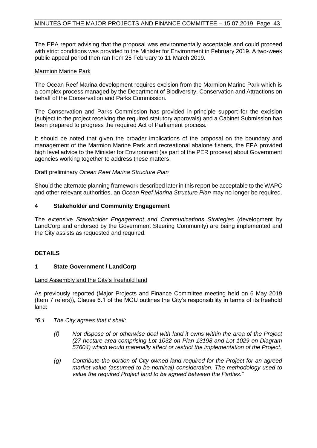The EPA report advising that the proposal was environmentally acceptable and could proceed with strict conditions was provided to the Minister for Environment in February 2019. A two-week public appeal period then ran from 25 February to 11 March 2019.

#### Marmion Marine Park

The Ocean Reef Marina development requires excision from the Marmion Marine Park which is a complex process managed by the Department of Biodiversity, Conservation and Attractions on behalf of the Conservation and Parks Commission.

The Conservation and Parks Commission has provided in-principle support for the excision (subject to the project receiving the required statutory approvals) and a Cabinet Submission has been prepared to progress the required Act of Parliament process.

It should be noted that given the broader implications of the proposal on the boundary and management of the Marmion Marine Park and recreational abalone fishers, the EPA provided high level advice to the Minister for Environment (as part of the PER process) about Government agencies working together to address these matters.

#### Draft preliminary *Ocean Reef Marina Structure Plan*

Should the alternate planning framework described later in this report be acceptable to the WAPC and other relevant authorities, an *Ocean Reef Marina Structure Plan* may no longer be required.

#### **4 Stakeholder and Community Engagement**

The extensive *Stakeholder Engagement and Communications Strategies* (development by LandCorp and endorsed by the Government Steering Community) are being implemented and the City assists as requested and required.

#### **DETAILS**

#### **1 State Government / LandCorp**

#### Land Assembly and the City's freehold land

As previously reported (Major Projects and Finance Committee meeting held on 6 May 2019 (Item 7 refers)), Clause 6.1 of the MOU outlines the City's responsibility in terms of its freehold land:

- *"6.1 The City agrees that it shall:*
	- *(f) Not dispose of or otherwise deal with land it owns within the area of the Project (27 hectare area comprising Lot 1032 on Plan 13198 and Lot 1029 on Diagram 57604) which would materially affect or restrict the implementation of the Project.*
	- *(g) Contribute the portion of City owned land required for the Project for an agreed market value (assumed to be nominal) consideration. The methodology used to value the required Project land to be agreed between the Parties."*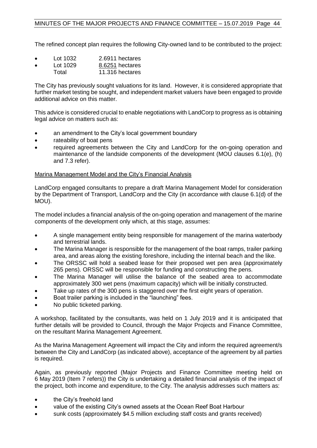The refined concept plan requires the following City-owned land to be contributed to the project:

- Lot 1032 2.6911 hectares
- Lot 1029 8.6251 hectares
- Total 11.316 hectares

The City has previously sought valuations for its land. However, it is considered appropriate that further market testing be sought, and independent market valuers have been engaged to provide additional advice on this matter.

This advice is considered crucial to enable negotiations with LandCorp to progress as is obtaining legal advice on matters such as:

- an amendment to the City's local government boundary
- rateability of boat pens
- required agreements between the City and LandCorp for the on-going operation and maintenance of the landside components of the development (MOU clauses 6.1(e), (h) and 7.3 refer).

#### Marina Management Model and the City's Financial Analysis

LandCorp engaged consultants to prepare a draft Marina Management Model for consideration by the Department of Transport, LandCorp and the City (in accordance with clause 6.1(d) of the MOU).

The model includes a financial analysis of the on-going operation and management of the marine components of the development only which, at this stage, assumes:

- A single management entity being responsible for management of the marina waterbody and terrestrial lands.
- The Marina Manager is responsible for the management of the boat ramps, trailer parking area, and areas along the existing foreshore, including the internal beach and the like.
- The ORSSC will hold a seabed lease for their proposed wet pen area (approximately 265 pens). ORSSC will be responsible for funding and constructing the pens.
- The Marina Manager will utilise the balance of the seabed area to accommodate approximately 300 wet pens (maximum capacity) which will be initially constructed.
- Take up rates of the 300 pens is staggered over the first eight years of operation.
- Boat trailer parking is included in the "launching" fees.
- No public ticketed parking.

A workshop, facilitated by the consultants, was held on 1 July 2019 and it is anticipated that further details will be provided to Council, through the Major Projects and Finance Committee, on the resultant Marina Management Agreement.

As the Marina Management Agreement will impact the City and inform the required agreement/s between the City and LandCorp (as indicated above), acceptance of the agreement by all parties is required.

Again, as previously reported (Major Projects and Finance Committee meeting held on 6 May 2019 (Item 7 refers)) the City is undertaking a detailed financial analysis of the impact of the project, both income and expenditure, to the City. The analysis addresses such matters as:

- the City's freehold land
- value of the existing City's owned assets at the Ocean Reef Boat Harbour
- sunk costs (approximately \$4.5 million excluding staff costs and grants received)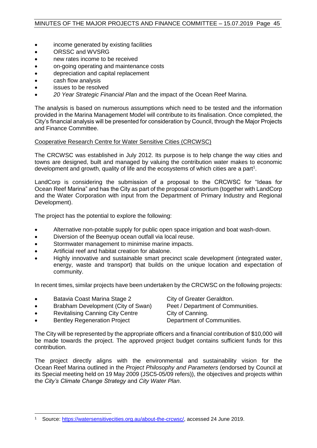- income generated by existing facilities
- ORSSC and WVSRG
- new rates income to be received
- on-going operating and maintenance costs
- depreciation and capital replacement
- cash flow analysis
- issues to be resolved
- *20 Year Strategic Financial Plan* and the impact of the Ocean Reef Marina.

The analysis is based on numerous assumptions which need to be tested and the information provided in the Marina Management Model will contribute to its finalisation. Once completed, the City's financial analysis will be presented for consideration by Council, through the Major Projects and Finance Committee.

#### Cooperative Research Centre for Water Sensitive Cities (CRCWSC)

The CRCWSC was established in July 2012. Its purpose is to help change the way cities and towns are designed, built and managed by valuing the contribution water makes to economic development and growth, quality of life and the ecosystems of which cities are a part<sup>1</sup>.

LandCorp is considering the submission of a proposal to the CRCWSC for "Ideas for Ocean Reef Marina" and has the City as part of the proposal consortium (together with LandCorp and the Water Corporation with input from the Department of Primary Industry and Regional Development).

The project has the potential to explore the following:

- Alternative non-potable supply for public open space irrigation and boat wash-down.
- Diversion of the Beenyup ocean outfall via local reuse.
- Stormwater management to minimise marine impacts.
- Artificial reef and habitat creation for abalone.
- Highly innovative and sustainable smart precinct scale development (integrated water, energy, waste and transport) that builds on the unique location and expectation of community.

In recent times, similar projects have been undertaken by the CRCWSC on the following projects:

- Batavia Coast Marina Stage 2 City of Greater Geraldton.
- Brabham Development (City of Swan) Peet / Department of Communities.
- Revitalising Canning City Centre City of Canning.

• Bentley Regeneration Project Department of Communities.

The City will be represented by the appropriate officers and a financial contribution of \$10,000 will be made towards the project. The approved project budget contains sufficient funds for this contribution.

The project directly aligns with the environmental and sustainability vision for the Ocean Reef Marina outlined in the *Project Philosophy and Parameters* (endorsed by Council at its Special meeting held on 19 May 2009 (JSC5-05/09 refers)), the objectives and projects within the *City's Climate Change Strategy* and *City Water Plan*.

 $\overline{a}$ Source: [https://watersensitivecities.org.au/about-the-crcwsc/,](https://watersensitivecities.org.au/about-the-crcwsc/) accessed 24 June 2019.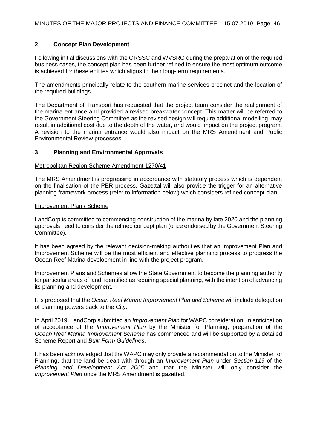#### **2 Concept Plan Development**

Following initial discussions with the ORSSC and WVSRG during the preparation of the required business cases, the concept plan has been further refined to ensure the most optimum outcome is achieved for these entities which aligns to their long-term requirements.

The amendments principally relate to the southern marine services precinct and the location of the required buildings.

The Department of Transport has requested that the project team consider the realignment of the marina entrance and provided a revised breakwater concept. This matter will be referred to the Government Steering Committee as the revised design will require additional modelling, may result in additional cost due to the depth of the water, and would impact on the project program. A revision to the marina entrance would also impact on the MRS Amendment and Public Environmental Review processes.

#### **3 Planning and Environmental Approvals**

#### Metropolitan Region Scheme Amendment 1270/41

The MRS Amendment is progressing in accordance with statutory process which is dependent on the finalisation of the PER process. Gazettal will also provide the trigger for an alternative planning framework process (refer to information below) which considers refined concept plan.

#### Improvement Plan / Scheme

LandCorp is committed to commencing construction of the marina by late 2020 and the planning approvals need to consider the refined concept plan (once endorsed by the Government Steering Committee).

It has been agreed by the relevant decision-making authorities that an Improvement Plan and Improvement Scheme will be the most efficient and effective planning process to progress the Ocean Reef Marina development in line with the project program.

Improvement Plans and Schemes allow the State Government to become the planning authority for particular areas of land, identified as requiring special planning, with the intention of advancing its planning and development.

It is proposed that the *Ocean Reef Marina Improvement Plan and Scheme* will include delegation of planning powers back to the City.

In April 2019, LandCorp submitted an *Improvement Plan* for WAPC consideration. In anticipation of acceptance of the *Improvement Plan* by the Minister for Planning, preparation of the *Ocean Reef Marina Improvement Scheme* has commenced and will be supported by a detailed Scheme Report and *Built Form Guidelines*.

It has been acknowledged that the WAPC may only provide a recommendation to the Minister for Planning, that the land be dealt with through an *Improvement Plan* under *Section 119* of the *Planning and Development Act 2005* and that the Minister will only consider the *Improvement Plan* once the MRS Amendment is gazetted.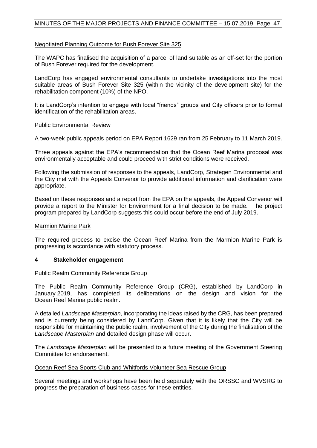#### MINUTES OF THE MAJOR PROJECTS AND FINANCE COMMITTEE – 15.07.2019 Page 47

#### Negotiated Planning Outcome for Bush Forever Site 325

The WAPC has finalised the acquisition of a parcel of land suitable as an off-set for the portion of Bush Forever required for the development.

LandCorp has engaged environmental consultants to undertake investigations into the most suitable areas of Bush Forever Site 325 (within the vicinity of the development site) for the rehabilitation component (10%) of the NPO.

It is LandCorp's intention to engage with local "friends" groups and City officers prior to formal identification of the rehabilitation areas.

#### Public Environmental Review

A two-week public appeals period on EPA Report 1629 ran from 25 February to 11 March 2019.

Three appeals against the EPA's recommendation that the Ocean Reef Marina proposal was environmentally acceptable and could proceed with strict conditions were received.

Following the submission of responses to the appeals, LandCorp, Strategen Environmental and the City met with the Appeals Convenor to provide additional information and clarification were appropriate.

Based on these responses and a report from the EPA on the appeals, the Appeal Convenor will provide a report to the Minister for Environment for a final decision to be made. The project program prepared by LandCorp suggests this could occur before the end of July 2019.

#### Marmion Marine Park

The required process to excise the Ocean Reef Marina from the Marmion Marine Park is progressing is accordance with statutory process.

#### **4 Stakeholder engagement**

#### Public Realm Community Reference Group

The Public Realm Community Reference Group (CRG), established by LandCorp in January 2019, has completed its deliberations on the design and vision for the Ocean Reef Marina public realm.

A detailed *Landscape Masterplan*, incorporating the ideas raised by the CRG, has been prepared and is currently being considered by LandCorp. Given that it is likely that the City will be responsible for maintaining the public realm, involvement of the City during the finalisation of the *Landscape Masterplan* and detailed design phase will occur.

The *Landscape Masterplan* will be presented to a future meeting of the Government Steering Committee for endorsement.

#### Ocean Reef Sea Sports Club and Whitfords Volunteer Sea Rescue Group

Several meetings and workshops have been held separately with the ORSSC and WVSRG to progress the preparation of business cases for these entities.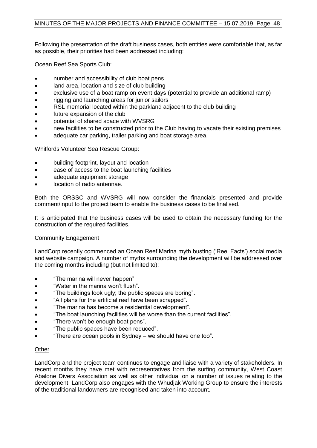#### MINUTES OF THE MAJOR PROJECTS AND FINANCE COMMITTEE – 15.07.2019 Page 48

Following the presentation of the draft business cases, both entities were comfortable that, as far as possible, their priorities had been addressed including:

Ocean Reef Sea Sports Club:

- number and accessibility of club boat pens
- land area, location and size of club building
- exclusive use of a boat ramp on event days (potential to provide an additional ramp)
- rigging and launching areas for junior sailors
- RSL memorial located within the parkland adjacent to the club building
- future expansion of the club
- potential of shared space with WVSRG
- new facilities to be constructed prior to the Club having to vacate their existing premises
- adequate car parking, trailer parking and boat storage area.

Whitfords Volunteer Sea Rescue Group:

- building footprint, layout and location
- ease of access to the boat launching facilities
- adequate equipment storage
- location of radio antennae.

Both the ORSSC and WVSRG will now consider the financials presented and provide comment/input to the project team to enable the business cases to be finalised.

It is anticipated that the business cases will be used to obtain the necessary funding for the construction of the required facilities.

#### Community Engagement

LandCorp recently commenced an Ocean Reef Marina myth busting ('Reel Facts') social media and website campaign. A number of myths surrounding the development will be addressed over the coming months including (but not limited to):

- "The marina will never happen".
- "Water in the marina won't flush".
- "The buildings look ugly; the public spaces are boring".
- "All plans for the artificial reef have been scrapped".
- "The marina has become a residential development".
- "The boat launching facilities will be worse than the current facilities".
- "There won't be enough boat pens".
- "The public spaces have been reduced".
- "There are ocean pools in Sydney we should have one too".

#### **Other**

LandCorp and the project team continues to engage and liaise with a variety of stakeholders. In recent months they have met with representatives from the surfing community, West Coast Abalone Divers Association as well as other individual on a number of issues relating to the development. LandCorp also engages with the Whudjak Working Group to ensure the interests of the traditional landowners are recognised and taken into account.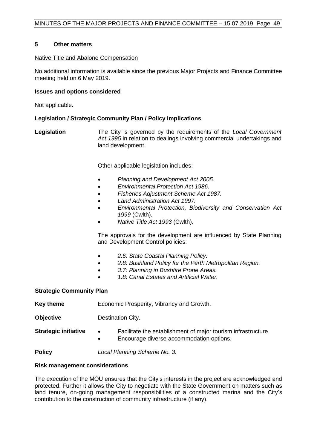#### **5 Other matters**

#### Native Title and Abalone Compensation

No additional information is available since the previous Major Projects and Finance Committee meeting held on 6 May 2019.

#### **Issues and options considered**

Not applicable.

#### **Legislation / Strategic Community Plan / Policy implications**

**Legislation** The City is governed by the requirements of the *Local Government Act 1995* in relation to dealings involving commercial undertakings and land development.

Other applicable legislation includes:

- *Planning and Development Act 2005.*
- *Environmental Protection Act 1986.*
- *Fisheries Adjustment Scheme Act 1987.*
- *Land Administration Act 1997.*
- *Environmental Protection, Biodiversity and Conservation Act 1999* (Cwlth).
- *Native Title Act 1993* (Cwlth).

The approvals for the development are influenced by State Planning and Development Control policies:

- *2.6: State Coastal Planning Policy.*
- *2.8: Bushland Policy for the Perth Metropolitan Region.*
- *3.7: Planning in Bushfire Prone Areas.*
- *1.8: Canal Estates and Artificial Water.*

#### **Strategic Community Plan**

**Key theme** Economic Prosperity, Vibrancy and Growth.

**Objective Destination City.** 

- **Strategic initiative •** Facilitate the establishment of major tourism infrastructure.
	- Encourage diverse accommodation options.

**Policy** *Local Planning Scheme No. 3.*

#### **Risk management considerations**

The execution of the MOU ensures that the City's interests in the project are acknowledged and protected. Further it allows the City to negotiate with the State Government on matters such as land tenure, on-going management responsibilities of a constructed marina and the City's contribution to the construction of community infrastructure (if any).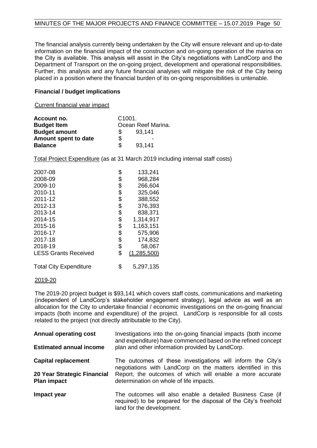The financial analysis currently being undertaken by the City will ensure relevant and up-to-date information on the financial impact of the construction and on-going operation of the marina on the City is available. This analysis will assist in the City's negotiations with LandCorp and the Department of Transport on the on-going project, development and operational responsibilities. Further, this analysis and any future financial analyses will mitigate the risk of the City being placed in a position where the financial burden of its on-going responsibilities is untenable.

#### **Financial / budget implications**

Current financial year impact

| Account no.          | C <sub>1001</sub> |                    |
|----------------------|-------------------|--------------------|
| <b>Budget Item</b>   |                   | Ocean Reef Marina. |
| <b>Budget amount</b> | S.                | 93,141             |
| Amount spent to date | \$                |                    |
| <b>Balance</b>       | \$.               | 93,141             |

Total Project Expenditure (as at 31 March 2019 including internal staff costs)

| 2007-08                       | \$<br>133,241     |
|-------------------------------|-------------------|
| 2008-09                       | \$<br>968,284     |
| 2009-10                       | \$<br>266,604     |
| 2010-11                       | \$<br>325,046     |
| 2011-12                       | \$<br>388,552     |
| 2012-13                       | \$<br>376,393     |
| 2013-14                       | \$<br>838,371     |
| 2014-15                       | \$<br>1,314,917   |
| 2015-16                       | \$<br>1,163,151   |
| 2016-17                       | \$<br>575,906     |
| 2017-18                       | \$<br>174,832     |
| 2018-19                       | \$<br>58,067      |
| <b>LESS Grants Received</b>   | \$<br>(1,285,500) |
| <b>Total City Expenditure</b> | \$<br>5,297,135   |

#### 2019-20

The 2019-20 project budget is \$93,141 which covers staff costs, communications and marketing (independent of LandCorp's stakeholder engagement strategy), legal advice as well as an allocation for the City to undertake financial / economic investigations on the on-going financial impacts (both income and expenditure) of the project. LandCorp is responsible for all costs related to the project (not directly attributable to the City).

| <b>Annual operating cost</b><br><b>Estimated annual income</b> | Investigations into the on-going financial impacts (both income<br>and expenditure) have commenced based on the refined concept<br>plan and other information provided by LandCorp. |
|----------------------------------------------------------------|-------------------------------------------------------------------------------------------------------------------------------------------------------------------------------------|
| <b>Capital replacement</b>                                     | The outcomes of these investigations will inform the City's<br>negotiations with LandCorp on the matters identified in this                                                         |
| 20 Year Strategic Financial<br><b>Plan impact</b>              | Report, the outcomes of which will enable a more accurate<br>determination on whole of life impacts.                                                                                |
| Impact year                                                    | The outcomes will also enable a detailed Business Case (if<br>required) to be prepared for the disposal of the City's freehold<br>land for the development.                         |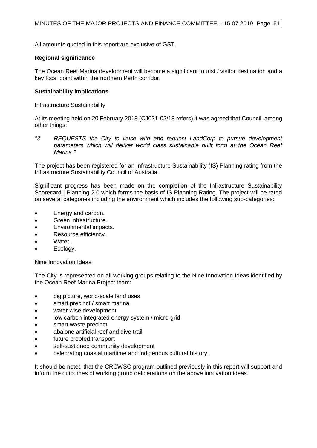All amounts quoted in this report are exclusive of GST.

#### **Regional significance**

The Ocean Reef Marina development will become a significant tourist / visitor destination and a key focal point within the northern Perth corridor.

#### **Sustainability implications**

#### Infrastructure Sustainability

At its meeting held on 20 February 2018 (CJ031-02/18 refers) it was agreed that Council, among other things:

*"3 REQUESTS the City to liaise with and request LandCorp to pursue development parameters which will deliver world class sustainable built form at the Ocean Reef Marina."*

The project has been registered for an Infrastructure Sustainability (IS) Planning rating from the Infrastructure Sustainability Council of Australia.

Significant progress has been made on the completion of the Infrastructure Sustainability Scorecard | Planning 2.0 which forms the basis of IS Planning Rating. The project will be rated on several categories including the environment which includes the following sub-categories:

- Energy and carbon.
- Green infrastructure.
- Environmental impacts.
- Resource efficiency.
- Water.
- Ecology.

#### Nine Innovation Ideas

The City is represented on all working groups relating to the Nine Innovation Ideas identified by the Ocean Reef Marina Project team:

- big picture, world-scale land uses
- smart precinct / smart marina
- water wise development
- low carbon integrated energy system / micro-grid
- smart waste precinct
- abalone artificial reef and dive trail
- future proofed transport
- self-sustained community development
- celebrating coastal maritime and indigenous cultural history.

It should be noted that the CRCWSC program outlined previously in this report will support and inform the outcomes of working group deliberations on the above innovation ideas.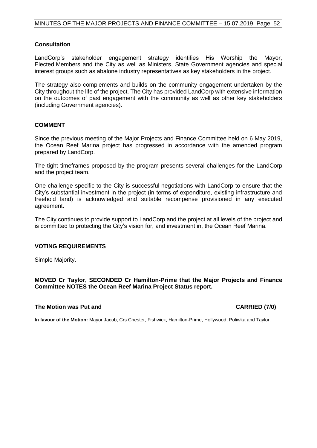#### **Consultation**

LandCorp's stakeholder engagement strategy identifies His Worship the Mayor, Elected Members and the City as well as Ministers, State Government agencies and special interest groups such as abalone industry representatives as key stakeholders in the project.

The strategy also complements and builds on the community engagement undertaken by the City throughout the life of the project. The City has provided LandCorp with extensive information on the outcomes of past engagement with the community as well as other key stakeholders (including Government agencies).

#### **COMMENT**

Since the previous meeting of the Major Projects and Finance Committee held on 6 May 2019, the Ocean Reef Marina project has progressed in accordance with the amended program prepared by LandCorp.

The tight timeframes proposed by the program presents several challenges for the LandCorp and the project team.

One challenge specific to the City is successful negotiations with LandCorp to ensure that the City's substantial investment in the project (in terms of expenditure, existing infrastructure and freehold land) is acknowledged and suitable recompense provisioned in any executed agreement.

The City continues to provide support to LandCorp and the project at all levels of the project and is committed to protecting the City's vision for, and investment in, the Ocean Reef Marina.

#### **VOTING REQUIREMENTS**

Simple Majority.

**MOVED Cr Taylor, SECONDED Cr Hamilton-Prime that the Major Projects and Finance Committee NOTES the Ocean Reef Marina Project Status report.**

#### **The Motion was Put and CARRIED (7/0)**

**In favour of the Motion:** Mayor Jacob, Crs Chester, Fishwick, Hamilton-Prime, Hollywood, Poliwka and Taylor.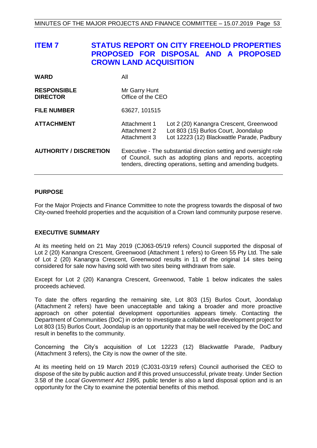<span id="page-52-0"></span>

| <b>ITEM7</b>                          | <b>CROWN LAND ACQUISITION</b>                | <b>STATUS REPORT ON CITY FREEHOLD PROPERTIES</b><br>PROPOSED FOR DISPOSAL AND A PROPOSED                                                                                                      |  |
|---------------------------------------|----------------------------------------------|-----------------------------------------------------------------------------------------------------------------------------------------------------------------------------------------------|--|
| <b>WARD</b>                           | All                                          |                                                                                                                                                                                               |  |
| <b>RESPONSIBLE</b><br><b>DIRECTOR</b> | Mr Garry Hunt<br>Office of the CEO           |                                                                                                                                                                                               |  |
| <b>FILE NUMBER</b>                    | 63627, 101515                                |                                                                                                                                                                                               |  |
| <b>ATTACHMENT</b>                     | Attachment 1<br>Attachment 2<br>Attachment 3 | Lot 2 (20) Kanangra Crescent, Greenwood<br>Lot 803 (15) Burlos Court, Joondalup<br>Lot 12223 (12) Blackwattle Parade, Padbury                                                                 |  |
| <b>AUTHORITY / DISCRETION</b>         |                                              | Executive - The substantial direction setting and oversight role<br>of Council, such as adopting plans and reports, accepting<br>tenders, directing operations, setting and amending budgets. |  |

#### **PURPOSE**

For the Major Projects and Finance Committee to note the progress towards the disposal of two City-owned freehold properties and the acquisition of a Crown land community purpose reserve.

#### **EXECUTIVE SUMMARY**

At its meeting held on 21 May 2019 (CJ063-05/19 refers) Council supported the disposal of Lot 2 (20) Kanangra Crescent, Greenwood (Attachment 1 refers) to Green 55 Pty Ltd. The sale of Lot 2 (20) Kanangra Crescent, Greenwood results in 11 of the original 14 sites being considered for sale now having sold with two sites being withdrawn from sale.

Except for Lot 2 (20) Kanangra Crescent, Greenwood, Table 1 below indicates the sales proceeds achieved.

To date the offers regarding the remaining site, Lot 803 (15) Burlos Court, Joondalup (Attachment 2 refers) have been unacceptable and taking a broader and more proactive approach on other potential development opportunities appears timely. Contacting the Department of Communities (DoC) in order to investigate a collaborative development project for Lot 803 (15) Burlos Court, Joondalup is an opportunity that may be well received by the DoC and result in benefits to the community.

Concerning the City's acquisition of Lot 12223 (12) Blackwattle Parade, Padbury (Attachment 3 refers), the City is now the owner of the site.

At its meeting held on 19 March 2019 (CJ031-03/19 refers) Council authorised the CEO to dispose of the site by public auction and if this proved unsuccessful, private treaty. Under Section 3.58 of the *Local Government Act 1995,* public tender is also a land disposal option and is an opportunity for the City to examine the potential benefits of this method.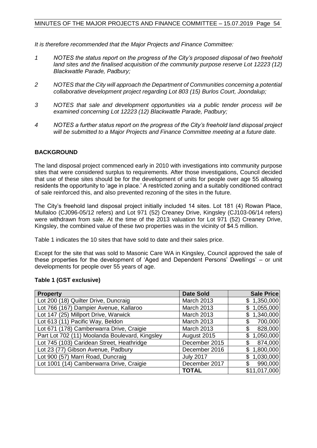*It is therefore recommended that the Major Projects and Finance Committee:*

- *1 NOTES the status report on the progress of the City's proposed disposal of two freehold land sites and the finalised acquisition of the community purpose reserve Lot 12223 (12) Blackwattle Parade, Padbury;*
- *2 NOTES that the City will approach the Department of Communities concerning a potential collaborative development project regarding Lot 803 (15) Burlos Court, Joondalup;*
- *3 NOTES that sale and development opportunities via a public tender process will be examined concerning Lot 12223 (12) Blackwattle Parade, Padbury;*
- *4 NOTES a further status report on the progress of the City's freehold land disposal project will be submitted to a Major Projects and Finance Committee meeting at a future date.*

### **BACKGROUND**

The land disposal project commenced early in 2010 with investigations into community purpose sites that were considered surplus to requirements. After those investigations, Council decided that use of these sites should be for the development of units for people over age 55 allowing residents the opportunity to 'age in place.' A restricted zoning and a suitably conditioned contract of sale reinforced this, and also prevented rezoning of the sites in the future.

The City's freehold land disposal project initially included 14 sites. Lot 181 (4) Rowan Place, Mullaloo (CJ096-05/12 refers) and Lot 971 (52) Creaney Drive, Kingsley (CJ103-06/14 refers) were withdrawn from sale. At the time of the 2013 valuation for Lot 971 (52) Creaney Drive, Kingsley, the combined value of these two properties was in the vicinity of \$4.5 million.

Table 1 indicates the 10 sites that have sold to date and their sales price.

Except for the site that was sold to Masonic Care WA in Kingsley, Council approved the sale of these properties for the development of 'Aged and Dependent Persons' Dwellings' – or unit developments for people over 55 years of age.

| <b>Property</b>                                | <b>Date Sold</b>  | Sale Price   |
|------------------------------------------------|-------------------|--------------|
| Lot 200 (18) Quilter Drive, Duncraig           | <b>March 2013</b> | \$1,350,000  |
| Lot 766 (167) Dampier Avenue, Kallaroo         | March 2013        | 1,055,000    |
| Lot 147 (25) Millport Drive, Warwick           | March 2013        | 1,340,000    |
| Lot 613 (11) Pacific Way, Beldon               | <b>March 2013</b> | 700,000      |
| Lot 671 (178) Camberwarra Drive, Craigie       | <b>March 2013</b> | 828,000      |
| Part Lot 702 (11) Moolanda Boulevard, Kingsley | August 2015       | 1,050,000    |
| Lot 745 (103) Caridean Street, Heathridge      | December 2015     | 874,000      |
| Lot 23 (77) Gibson Avenue, Padbury             | December 2016     | 1,800,000    |
| Lot 900 (57) Marri Road, Duncraig              | <b>July 2017</b>  | 1,030,000    |
| Lot 1001 (14) Camberwarra Drive, Craigie       | December 2017     | 990,000      |
|                                                | <b>TOTAL</b>      | \$11,017,000 |

#### **Table 1 (GST exclusive)**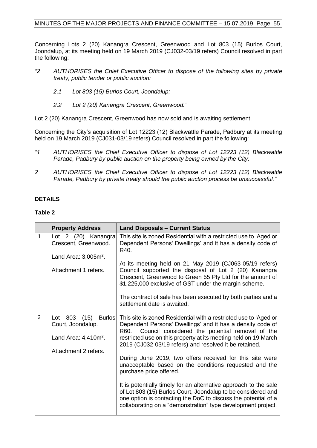Concerning Lots 2 (20) Kanangra Crescent, Greenwood and Lot 803 (15) Burlos Court, Joondalup, at its meeting held on 19 March 2019 (CJ032-03/19 refers) Council resolved in part the following:

- *"2 AUTHORISES the Chief Executive Officer to dispose of the following sites by private treaty, public tender or public auction:* 
	- *2.1 Lot 803 (15) Burlos Court, Joondalup;*
	- *2.2 Lot 2 (20) Kanangra Crescent, Greenwood."*

Lot 2 (20) Kanangra Crescent, Greenwood has now sold and is awaiting settlement.

Concerning the City's acquisition of Lot 12223 (12) Blackwattle Parade, Padbury at its meeting held on 19 March 2019 (CJ031-03/19 refers) Council resolved in part the following:

- *"1 AUTHORISES the Chief Executive Officer to dispose of Lot 12223 (12) Blackwattle Parade, Padbury by public auction on the property being owned by the City;*
- *2 AUTHORISES the Chief Executive Officer to dispose of Lot 12223 (12) Blackwattle Parade, Padbury by private treaty should the public auction process be unsuccessful."*

#### **DETAILS**

#### **Table 2**

|                | <b>Property Address</b>                                                                                  | <b>Land Disposals - Current Status</b>                                                                                                                                                                                                                                                                                                                                                                                                                                                                                                                                                                                                                                                                                                        |
|----------------|----------------------------------------------------------------------------------------------------------|-----------------------------------------------------------------------------------------------------------------------------------------------------------------------------------------------------------------------------------------------------------------------------------------------------------------------------------------------------------------------------------------------------------------------------------------------------------------------------------------------------------------------------------------------------------------------------------------------------------------------------------------------------------------------------------------------------------------------------------------------|
| 1              | Lot 2 (20) Kanangra<br>Crescent, Greenwood.<br>Land Area: $3,005m^2$ .                                   | This site is zoned Residential with a restricted use to 'Aged or<br>Dependent Persons' Dwellings' and it has a density code of<br>R40.                                                                                                                                                                                                                                                                                                                                                                                                                                                                                                                                                                                                        |
|                | Attachment 1 refers.                                                                                     | At its meeting held on 21 May 2019 (CJ063-05/19 refers)<br>Council supported the disposal of Lot 2 (20) Kanangra<br>Crescent, Greenwood to Green 55 Pty Ltd for the amount of<br>\$1,225,000 exclusive of GST under the margin scheme.<br>The contract of sale has been executed by both parties and a<br>settlement date is awaited.                                                                                                                                                                                                                                                                                                                                                                                                         |
| $\overline{2}$ | Lot 803<br>(15)<br><b>Burlos</b><br>Court, Joondalup.<br>Land Area: $4,410m^2$ .<br>Attachment 2 refers. | This site is zoned Residential with a restricted use to 'Aged or<br>Dependent Persons' Dwellings' and it has a density code of<br>Council considered the potential removal of the<br>R60.<br>restricted use on this property at its meeting held on 19 March<br>2019 (CJ032-03/19 refers) and resolved it be retained.<br>During June 2019, two offers received for this site were<br>unacceptable based on the conditions requested and the<br>purchase price offered.<br>It is potentially timely for an alternative approach to the sale<br>of Lot 803 (15) Burlos Court, Joondalup to be considered and<br>one option is contacting the DoC to discuss the potential of a<br>collaborating on a "demonstration" type development project. |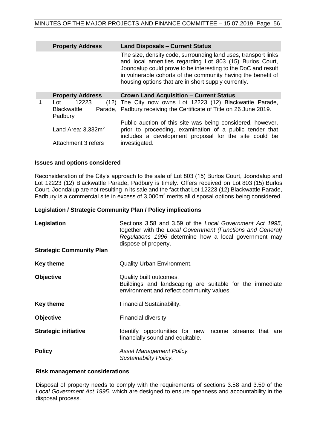|  | <b>Property Address</b>                                          | <b>Land Disposals - Current Status</b>                                                                                                                                                                                                                                                                             |
|--|------------------------------------------------------------------|--------------------------------------------------------------------------------------------------------------------------------------------------------------------------------------------------------------------------------------------------------------------------------------------------------------------|
|  |                                                                  | The size, density code, surrounding land uses, transport links<br>and local amenities regarding Lot 803 (15) Burlos Court,<br>Joondalup could prove to be interesting to the DoC and result<br>in vulnerable cohorts of the community having the benefit of<br>housing options that are in short supply currently. |
|  | <b>Property Address</b>                                          | <b>Crown Land Acquisition - Current Status</b>                                                                                                                                                                                                                                                                     |
|  | 12223<br>(12)<br>Lot<br><b>Blackwattle</b><br>Parade,<br>Padbury | The City now owns Lot 12223 (12) Blackwattle Parade,<br>Padbury receiving the Certificate of Title on 26 June 2019.                                                                                                                                                                                                |
|  | Land Area: $3.332m2$<br>Attachment 3 refers                      | Public auction of this site was being considered, however,<br>prior to proceeding, examination of a public tender that<br>includes a development proposal for the site could be<br>investigated.                                                                                                                   |
|  |                                                                  |                                                                                                                                                                                                                                                                                                                    |

#### **Issues and options considered**

Reconsideration of the City's approach to the sale of Lot 803 (15) Burlos Court, Joondalup and Lot 12223 (12) Blackwattle Parade, Padbury is timely. Offers received on Lot 803 (15) Burlos Court, Joondalup are not resulting in its sale and the fact that Lot 12223 (12) Blackwattle Parade, Padbury is a commercial site in excess of 3,000m<sup>2</sup> merits all disposal options being considered.

#### **Legislation / Strategic Community Plan / Policy implications**

| Legislation                     | Sections 3.58 and 3.59 of the Local Government Act 1995,<br>together with the Local Government (Functions and General)<br>Regulations 1996 determine how a local government may<br>dispose of property. |
|---------------------------------|---------------------------------------------------------------------------------------------------------------------------------------------------------------------------------------------------------|
| <b>Strategic Community Plan</b> |                                                                                                                                                                                                         |
| <b>Key theme</b>                | <b>Quality Urban Environment.</b>                                                                                                                                                                       |
| <b>Objective</b>                | Quality built outcomes.<br>Buildings and landscaping are suitable for the immediate<br>environment and reflect community values.                                                                        |
| <b>Key theme</b>                | Financial Sustainability.                                                                                                                                                                               |
| <b>Objective</b>                | Financial diversity.                                                                                                                                                                                    |
| <b>Strategic initiative</b>     | Identify opportunities for new income streams that are<br>financially sound and equitable.                                                                                                              |
| <b>Policy</b>                   | Asset Management Policy.<br>Sustainability Policy.                                                                                                                                                      |

#### **Risk management considerations**

Disposal of property needs to comply with the requirements of sections 3.58 and 3.59 of the *Local Government Act 1995*, which are designed to ensure openness and accountability in the disposal process.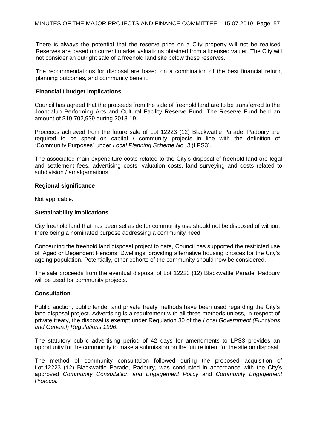There is always the potential that the reserve price on a City property will not be realised. Reserves are based on current market valuations obtained from a licensed valuer. The City will not consider an outright sale of a freehold land site below these reserves.

The recommendations for disposal are based on a combination of the best financial return, planning outcomes, and community benefit.

#### **Financial / budget implications**

Council has agreed that the proceeds from the sale of freehold land are to be transferred to the Joondalup Performing Arts and Cultural Facility Reserve Fund. The Reserve Fund held an amount of \$19,702,939 during 2018-19.

Proceeds achieved from the future sale of Lot 12223 (12) Blackwattle Parade, Padbury are required to be spent on capital / community projects in line with the definition of "Community Purposes" under *Local Planning Scheme No. 3* (LPS3).

The associated main expenditure costs related to the City's disposal of freehold land are legal and settlement fees, advertising costs, valuation costs, land surveying and costs related to subdivision / amalgamations

#### **Regional significance**

Not applicable.

#### **Sustainability implications**

City freehold land that has been set aside for community use should not be disposed of without there being a nominated purpose addressing a community need.

Concerning the freehold land disposal project to date, Council has supported the restricted use of 'Aged or Dependent Persons' Dwellings' providing alternative housing choices for the City's ageing population. Potentially, other cohorts of the community should now be considered.

The sale proceeds from the eventual disposal of Lot 12223 (12) Blackwattle Parade, Padbury will be used for community projects.

#### **Consultation**

Public auction, public tender and private treaty methods have been used regarding the City's land disposal project. Advertising is a requirement with all three methods unless, in respect of private treaty, the disposal is exempt under Regulation 30 of the *Local Government (Functions and General) Regulations 1996.*

The statutory public advertising period of 42 days for amendments to LPS3 provides an opportunity for the community to make a submission on the future intent for the site on disposal.

The method of community consultation followed during the proposed acquisition of Lot 12223 (12) Blackwattle Parade, Padbury, was conducted in accordance with the City's approved *Community Consultation and Engagement Policy* and *Community Engagement Protocol.*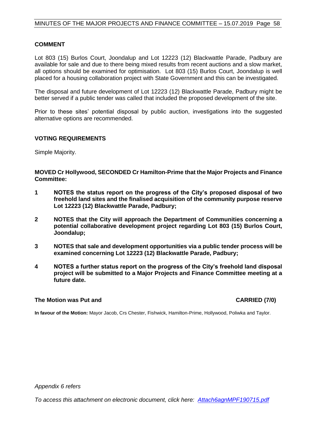#### **COMMENT**

Lot 803 (15) Burlos Court, Joondalup and Lot 12223 (12) Blackwattle Parade, Padbury are available for sale and due to there being mixed results from recent auctions and a slow market, all options should be examined for optimisation. Lot 803 (15) Burlos Court, Joondalup is well placed for a housing collaboration project with State Government and this can be investigated.

The disposal and future development of Lot 12223 (12) Blackwattle Parade, Padbury might be better served if a public tender was called that included the proposed development of the site.

Prior to these sites' potential disposal by public auction, investigations into the suggested alternative options are recommended.

#### **VOTING REQUIREMENTS**

Simple Majority.

#### **MOVED Cr Hollywood, SECONDED Cr Hamilton-Prime that the Major Projects and Finance Committee:**

- **1 NOTES the status report on the progress of the City's proposed disposal of two freehold land sites and the finalised acquisition of the community purpose reserve Lot 12223 (12) Blackwattle Parade, Padbury;**
- **2 NOTES that the City will approach the Department of Communities concerning a potential collaborative development project regarding Lot 803 (15) Burlos Court, Joondalup;**
- **3 NOTES that sale and development opportunities via a public tender process will be examined concerning Lot 12223 (12) Blackwattle Parade, Padbury;**
- **4 NOTES a further status report on the progress of the City's freehold land disposal project will be submitted to a Major Projects and Finance Committee meeting at a future date.**

#### **The Motion was Put and CARRIED (7/0)**

**In favour of the Motion:** Mayor Jacob, Crs Chester, Fishwick, Hamilton-Prime, Hollywood, Poliwka and Taylor.

*Appendix 6 refers*

*To access this attachment on electronic document, click here[: Attach6agnMPF190715.pdf](http://www.joondalup.wa.gov.au/files/committees/MPFI/2019/Attach6agnMPF190715.pdf)*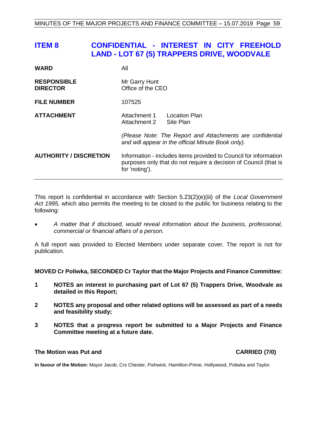# <span id="page-58-0"></span>**ITEM 8 CONFIDENTIAL - INTEREST IN CITY FREEHOLD LAND - LOT 67 (5) TRAPPERS DRIVE, WOODVALE**

| <b>WARD</b>                           | All                                                                                                                                                    |                                   |
|---------------------------------------|--------------------------------------------------------------------------------------------------------------------------------------------------------|-----------------------------------|
| <b>RESPONSIBLE</b><br><b>DIRECTOR</b> | Mr Garry Hunt<br>Office of the CEO                                                                                                                     |                                   |
| <b>FILE NUMBER</b>                    | 107525                                                                                                                                                 |                                   |
| <b>ATTACHMENT</b>                     | Attachment 1<br>Attachment 2                                                                                                                           | <b>Location Plan</b><br>Site Plan |
|                                       | (Please Note: The Report and Attachments are confidential<br>and will appear in the official Minute Book only).                                        |                                   |
| <b>AUTHORITY / DISCRETION</b>         | Information - includes items provided to Council for information<br>purposes only that do not require a decision of Council (that is<br>for 'noting'). |                                   |

This report is confidential in accordance with Section 5.23(2)(e)(iii) of the *Local Government Act 1995*, which also permits the meeting to be closed to the public for business relating to the following:

• *A matter that if disclosed, would reveal information about the business, professional, commercial or financial affairs of a person.*

A full report was provided to Elected Members under separate cover. The report is not for publication.

**MOVED Cr Poliwka, SECONDED Cr Taylor that the Major Projects and Finance Committee:**

- **1 NOTES an interest in purchasing part of Lot 67 (5) Trappers Drive, Woodvale as detailed in this Report;**
- **2 NOTES any proposal and other related options will be assessed as part of a needs and feasibility study;**
- **3 NOTES that a progress report be submitted to a Major Projects and Finance Committee meeting at a future date.**

#### **The Motion was Put and CARRIED (7/0)**

**In favour of the Motion:** Mayor Jacob, Crs Chester, Fishwick, Hamilton-Prime, Hollywood, Poliwka and Taylor.